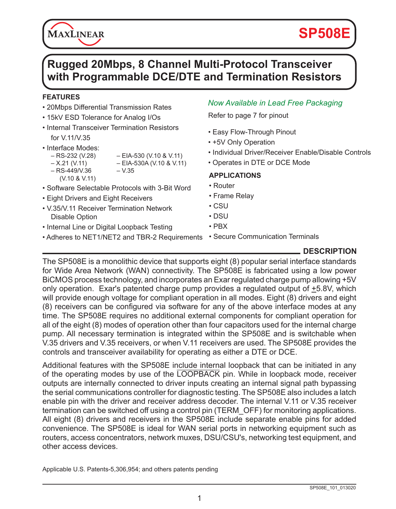# **SP508E**

# **Rugged 20Mbps, 8 Channel Multi-Protocol Transceiver with Programmable DCE/DTE and Termination Resistors**

#### **FEATURES**

- 20Mbps Differential Transmission Rates
- 15kV ESD Tolerance for Analog I/Os
- Internal Transceiver Termination Resistors for V.11/V.35
- Interface Modes:<br>– RS-232 (V.28)

**MAXLINEAR** 

- 
- $-$  EIA-530 (V.10 & V.11)  $-$  X.21 (V.11) – EIA-530A (V.10 & V.11)
- $-$  RS-449/V.36  $-$  V.35 (V.10 & V.11)
- 
- Software Selectable Protocols with 3-Bit Word
- Eight Drivers and Eight Receivers
- V.35/V.11 Receiver Termination Network Disable Option
- Internal Line or Digital Loopback Testing
- Adheres to NET1/NET2 and TBR-2 Requirements Secure Communication Terminals

### *Now Available in Lead Free Packaging*

Refer to page 7 for pinout

- Easy Flow-Through Pinout
- +5V Only Operation
- Individual Driver/Receiver Enable/Disable Controls
- Operates in DTE or DCE Mode

#### **APPLICATIONS**

- Router
- Frame Relay
- CSU
- DSU
- PBX
- 

#### **DESCRIPTION**

The SP508E is a monolithic device that supports eight (8) popular serial interface standards for Wide Area Network (WAN) connectivity. The SP508E is fabricated using a low power BiCMOS process technology, and incorporates an Exar regulated charge pump allowing +5V only operation. Exar's patented charge pump provides a regulated output of  $\pm$ 5.8V, which will provide enough voltage for compliant operation in all modes. Eight (8) drivers and eight (8) receivers can be configured via software for any of the above interface modes at any time. The SP508E requires no additional external components for compliant operation for all of the eight (8) modes of operation other than four capacitors used for the internal charge pump. All necessary termination is integrated within the SP508E and is switchable when V.35 drivers and V.35 receivers, or when V.11 receivers are used. The SP508E provides the controls and transceiver availability for operating as either a DTE or DCE.

Additional features with the SP508E include internal loopback that can be initiated in any of the operating modes by use of the LOOPBACK pin. While in loopback mode, receiver outputs are internally connected to driver inputs creating an internal signal path bypassing the serial communications controller for diagnostic testing. The SP508E also includes a latch enable pin with the driver and receiver address decoder. The internal V.11 or V.35 receiver termination can be switched off using a control pin (TERM\_OFF) for monitoring applications. All eight (8) drivers and receivers in the SP508E include separate enable pins for added convenience. The SP508E is ideal for WAN serial ports in networking equipment such as routers, access concentrators, network muxes, DSU/CSU's, networking test equipment, and other access devices.

Applicable U.S. Patents-5,306,954; and others patents pending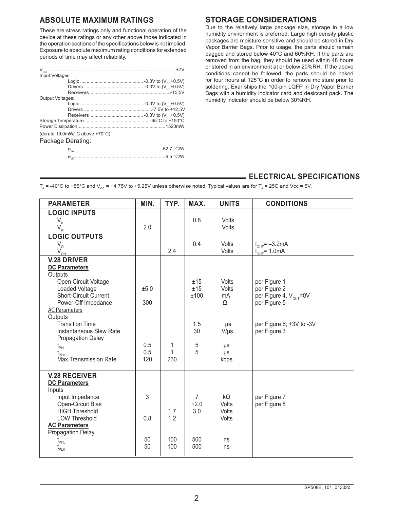#### **ABSOLUTE MAXIMUM RATINGS**

These are stress ratings only and functional operation of the device at these ratings or any other above those indicated in the operation sections of the specifications below is not implied. Exposure to absolute maximum rating conditions for extended periods of time may affect reliability.

| Input Voltages:                |  |
|--------------------------------|--|
|                                |  |
|                                |  |
|                                |  |
| Output Voltages:               |  |
|                                |  |
|                                |  |
|                                |  |
|                                |  |
|                                |  |
| (derate 19.0mW/°C above +70°C) |  |
| Package Derating:              |  |
|                                |  |
|                                |  |

#### **STORAGE CONSIDERATIONS**

Due to the relatively large package size, storage in a low humidity environment is preferred. Large high density plastic packages are moisture sensitive and should be stored in Dry Vapor Barrier Bags. Prior to usage, the parts should remain bagged and stored below 40°C and 60%RH. If the parts are removed from the bag, they should be used within 48 hours or stored in an environment at or below 20%RH. If the above conditions cannot be followed, the parts should be baked for four hours at 125°C in order to remove moisture prior to soldering. Exar ships the 100-pin LQFP in Dry Vapor Barrier Bags with a humidity indicator card and desiccant pack. The humidity indicator should be below 30%RH.

#### **ELECTRICAL SPECIFICATIONS**

 $T_A$  = -40°C to +85°C and V<sub>CC</sub> = +4.75V to +5.25V unless otherwise noted. Typical values are for  $T_A$  = 25C and Vcc = 5V.

| <b>LOGIC INPUTS</b><br>$V_{\mu}$<br>0.8<br><b>Volts</b><br>2.0<br>Volts<br>$\mathsf{V}_{\!\scriptscriptstyle\boldsymbol{\bot}}$<br><b>LOGIC OUTPUTS</b>            |  |
|--------------------------------------------------------------------------------------------------------------------------------------------------------------------|--|
|                                                                                                                                                                    |  |
|                                                                                                                                                                    |  |
|                                                                                                                                                                    |  |
| $V_{\text{OL}}$<br>0.4<br>Volts<br>$I_{\text{OUT}} = -3.2 \text{mA}$<br>$I_{\text{out}}^{\text{out}}$ = 1.0mA<br>2.4<br><b>Volts</b><br>$\mathsf{V}_{\mathsf{QH}}$ |  |
| <b>V.28 DRIVER</b>                                                                                                                                                 |  |
| <b>DC Parameters</b><br>Outputs                                                                                                                                    |  |
| Open Circuit Voltage<br>per Figure 1<br>Volts<br>±15                                                                                                               |  |
| Loaded Voltage<br>per Figure 2<br>±5.0<br>±15<br>Volts                                                                                                             |  |
| <b>Short-Circuit Current</b><br>per Figure 4, V <sub>our</sub> =0V<br>±100<br>mA<br>Power-Off Impedance<br>300<br>per Figure 5<br>Ω                                |  |
| <b>AC Parameters</b>                                                                                                                                               |  |
| Outputs                                                                                                                                                            |  |
| <b>Transition Time</b><br>per Figure 6: +3V to -3V<br>1.5<br>μs<br>Instantaneous Slew Rate<br>30<br>per Figure 3<br>$V/\mu s$                                      |  |
| Propagation Delay                                                                                                                                                  |  |
| 0.5<br>1<br>5<br>$t_{\text{PHL}}$<br>μs                                                                                                                            |  |
| 5<br>0.5<br>1<br>μs<br>t <sub>p⊥н</sub><br>Max.Transmission Rate<br>120<br>230                                                                                     |  |
| kbps                                                                                                                                                               |  |
| <b>V.28 RECEIVER</b>                                                                                                                                               |  |
| <b>DC Parameters</b>                                                                                                                                               |  |
| Inputs<br>3<br>Input Impedance<br>kΩ<br>per Figure 7<br>$\overline{7}$                                                                                             |  |
| Open-Circuit Bias<br>$+2.0$<br>per Figure 8<br>Volts                                                                                                               |  |
| <b>HIGH Threshold</b><br>3.0<br>1.7<br>Volts                                                                                                                       |  |
| 1.2<br><b>LOW Threshold</b><br>0.8<br>Volts<br><b>AC Parameters</b>                                                                                                |  |
| Propagation Delay                                                                                                                                                  |  |
| 50<br>100<br>500<br>ns<br>l<br>PHL                                                                                                                                 |  |
| 50<br>100<br>500<br>ns<br>⊾−                                                                                                                                       |  |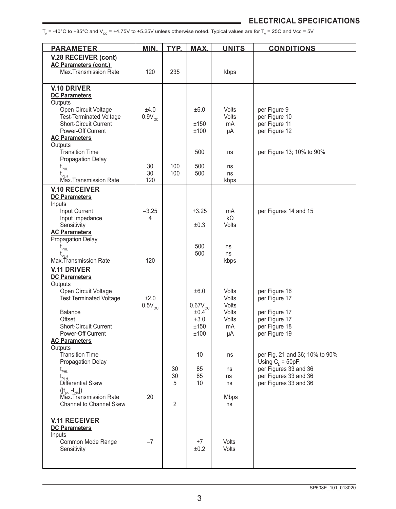$T_A$  = -40°C to +85°C and V<sub>cc</sub> = +4.75V to +5.25V unless otherwise noted. Typical values are for  $T_A$  = 25C and Vcc = 5V

| <b>PARAMETER</b>                                               | MIN.             | TYP. | MAX.           | <b>UNITS</b> | <b>CONDITIONS</b>                                      |
|----------------------------------------------------------------|------------------|------|----------------|--------------|--------------------------------------------------------|
| V.28 RECEIVER (cont)                                           |                  |      |                |              |                                                        |
| <b>AC Parameters (cont.)</b>                                   |                  |      |                |              |                                                        |
| Max.Transmission Rate                                          | 120              | 235  |                | kbps         |                                                        |
| <b>V.10 DRIVER</b>                                             |                  |      |                |              |                                                        |
| <b>DC Parameters</b>                                           |                  |      |                |              |                                                        |
| Outputs                                                        | ±4.0             |      | ±6.0           | Volts        |                                                        |
| Open Circuit Voltage<br><b>Test-Terminated Voltage</b>         | $0.9V_{\odot C}$ |      |                | Volts        | per Figure 9<br>per Figure 10                          |
| <b>Short-Circuit Current</b>                                   |                  |      | ±150           | mA           | per Figure 11                                          |
| Power-Off Current                                              |                  |      | ±100           | μA           | per Figure 12                                          |
| <b>AC Parameters</b><br>Outputs                                |                  |      |                |              |                                                        |
| <b>Transition Time</b>                                         |                  |      | 500            | ns           | per Figure 13; 10% to 90%                              |
| <b>Propagation Delay</b>                                       |                  |      |                |              |                                                        |
| $\mathfrak{t}_{_{\sf PHL}}$                                    | 30               | 100  | 500            | ns           |                                                        |
| $t_{\rm p_{\rm LH}}$<br>Max.Transmission Rate                  | 30<br>120        | 100  | 500            | ns<br>kbps   |                                                        |
| <b>V.10 RECEIVER</b>                                           |                  |      |                |              |                                                        |
| <b>DC Parameters</b>                                           |                  |      |                |              |                                                        |
| Inputs                                                         |                  |      |                |              |                                                        |
| Input Current                                                  | $-3.25$<br>4     |      | $+3.25$        | mA           | per Figures 14 and 15                                  |
| Input Impedance<br>Sensitivity                                 |                  |      | ±0.3           | kΩ<br>Volts  |                                                        |
| <b>AC Parameters</b>                                           |                  |      |                |              |                                                        |
| Propagation Delay                                              |                  |      |                |              |                                                        |
| $t_{\scriptscriptstyle\rm{PHL}}$                               |                  |      | 500<br>500     | ns<br>ns     |                                                        |
| $\mathfrak{t}_{_{\sf PLH}}$<br>Max.Transmission Rate           | 120              |      |                | kbps         |                                                        |
| <b>V.11 DRIVER</b>                                             |                  |      |                |              |                                                        |
| <b>DC Parameters</b>                                           |                  |      |                |              |                                                        |
| Outputs<br>Open Circuit Voltage                                |                  |      | ±6.0           | Volts        | per Figure 16                                          |
| <b>Test Terminated Voltage</b>                                 | ±2.0             |      |                | Volts        | per Figure 17                                          |
|                                                                | $0.5V_{oc}$      |      | $0.67V_{oc}$   | Volts        |                                                        |
| <b>Balance</b>                                                 |                  |      | ±0.4           | Volts        | per Figure 17                                          |
| Offset<br><b>Short-Circuit Current</b>                         |                  |      | $+3.0$<br>±150 | Volts<br>mA  | per Figure 17<br>per Figure 18                         |
| Power-Off Current                                              |                  |      | ±100           | μA           | per Figure 19                                          |
| <b>AC Parameters</b>                                           |                  |      |                |              |                                                        |
| Outputs                                                        |                  |      |                |              |                                                        |
| <b>Transition Time</b><br>Propagation Delay                    |                  |      | 10             | ns           | per Fig. 21 and 36; 10% to 90%<br>Using $C_i = 50pF$ ; |
| $t_{\scriptscriptstyle\rm{PHL}}$                               |                  | 30   | 85             | ns           | per Figures 33 and 36                                  |
|                                                                |                  | 30   | 85             | ns           | per Figures 33 and 36                                  |
| Differential Skew                                              |                  | 5    | 10             | ns           | per Figures 33 and 36                                  |
| $( t_{\text{phi}} - t_{\text{plh}} )$<br>Max Transmission Rate | 20               |      |                | <b>Mbps</b>  |                                                        |
| <b>Channel to Channel Skew</b>                                 |                  | 2    |                | ns           |                                                        |
|                                                                |                  |      |                |              |                                                        |
| <b>V.11 RECEIVER</b>                                           |                  |      |                |              |                                                        |
| <b>DC Parameters</b><br>Inputs                                 |                  |      |                |              |                                                        |
| Common Mode Range                                              | $-7$             |      | $+7$           | <b>Volts</b> |                                                        |
| Sensitivity                                                    |                  |      | ±0.2           | Volts        |                                                        |
|                                                                |                  |      |                |              |                                                        |
|                                                                |                  |      |                |              |                                                        |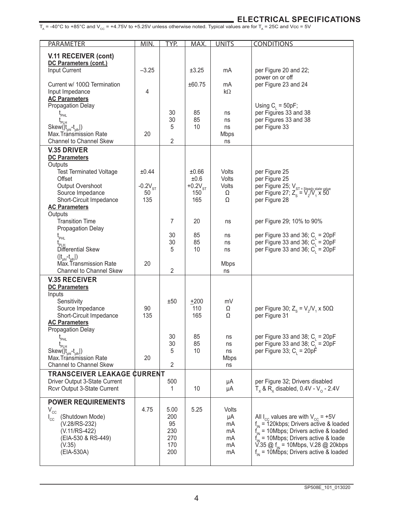$_{\text{T}_{\text{A}}}$  = -40°C to +85°C and V<sub>cc</sub> = +4.75V to +5.25V unless otherwise noted. Typical values are for T<sub>A</sub> = 25C and Vcc = 5V<br> $_{\text{A}}$  = 25C and Vcc = 5V

| PARAMETER                                                            | <b>MIN</b>   | TYP.       | MAX.          | <b>UNITS</b>   | <b>CONDITIONS</b>                                                                                                |
|----------------------------------------------------------------------|--------------|------------|---------------|----------------|------------------------------------------------------------------------------------------------------------------|
| V.11 RECEIVER (cont)                                                 |              |            |               |                |                                                                                                                  |
| DC Parameters (cont.)                                                |              |            |               |                |                                                                                                                  |
| Input Current                                                        | $-3.25$      |            | ±3.25         | mA             | per Figure 20 and 22;                                                                                            |
| Current w/ $100\Omega$ Termination                                   |              |            | ±60.75        | mA             | power on or off<br>per Figure 23 and 24                                                                          |
| Input Impedance                                                      | 4            |            |               | $k\Omega$      |                                                                                                                  |
| <b>AC Parameters</b>                                                 |              |            |               |                |                                                                                                                  |
| Propagation Delay                                                    |              | 30         | 85            | ns             | Using $C_i = 50pF$ ;<br>per Figures 33 and 38                                                                    |
| $\mathfrak{t}_{_{\mathsf{PHL}}}$<br>$\mathfrak{t}_{\mathsf{PLH}}$    |              | 30         | 85            | ns             | per Figures 33 and 38                                                                                            |
| Skew( t <sub>ohl</sub> -t <sub>olh</sub>  )                          |              | 5          | 10            | ns             | per Figure 33                                                                                                    |
| Max.Transmission Rate<br><b>Channel to Channel Skew</b>              | 20           | 2          |               | Mbps<br>ns     |                                                                                                                  |
| <b>V.35 DRIVER</b>                                                   |              |            |               |                |                                                                                                                  |
| <b>DC Parameters</b>                                                 |              |            |               |                |                                                                                                                  |
| Outputs                                                              |              |            |               |                |                                                                                                                  |
| <b>Test Terminated Voltage</b><br>Offset                             | ±0.44        |            | ±0.66<br>±0.6 | Volts<br>Volts | per Figure 25<br>per Figure 25                                                                                   |
| Output Overshoot                                                     | $-0.2V_{ST}$ |            | $+0.2VST$     | Volts          |                                                                                                                  |
| Source Impedance                                                     | 50           |            | 150           | Ω              | per Figure 25; $V_{ST = Steady state value}$<br>per Figure 27; $Z_s = V_2/V_1 x 50$                              |
| Short-Circuit Impedance<br><b>AC Parameters</b>                      | 135          |            | 165           | Ω              | per Figure 28                                                                                                    |
| Outputs                                                              |              |            |               |                |                                                                                                                  |
| <b>Transition Time</b>                                               |              | 7          | 20            | ns             | per Figure 29; 10% to 90%                                                                                        |
| <b>Propagation Delay</b>                                             |              | 30         | 85            |                |                                                                                                                  |
| $t_{\scriptscriptstyle{\sf PHL}}$                                    |              | 30         | 85            | ns<br>ns       | per Figure 33 and 36; $C_i = 20pF$<br>per Figure 33 and 36; $C_i = 20pF$                                         |
| Differential Skew                                                    |              | 5          | 10            | ns             | per Figure 33 and 36; $C_i = 20pF$                                                                               |
| ( t <sub>.phl</sub> -t <sub>.plh</sub>  )<br>Max.Transmission Rate   | 20           |            |               |                |                                                                                                                  |
| <b>Channel to Channel Skew</b>                                       |              | 2          |               | Mbps<br>ns     |                                                                                                                  |
| <b>V.35 RECEIVER</b>                                                 |              |            |               |                |                                                                                                                  |
| <b>DC Parameters</b>                                                 |              |            |               |                |                                                                                                                  |
| Inputs<br>Sensitivity                                                |              | ±50        | $+200$        | mV             |                                                                                                                  |
| Source Impedance                                                     | 90           |            | 110           | Ω              | per Figure 30; $Z_s = V_s/V_1 \times 50\Omega$                                                                   |
| Short-Circuit Impedance                                              | 135          |            | 165           | Ω              | per Figure 31                                                                                                    |
| <b>AC Parameters</b><br><b>Propagation Delay</b>                     |              |            |               |                |                                                                                                                  |
| $t_{\text{PHL}}$                                                     |              | 30         | 85            | ns             | per Figure 33 and 38; $C_i = 20pF$                                                                               |
|                                                                      |              | 30         | 85            | ns             | per Figure 33 and 38; $C_i = 20pF$                                                                               |
| Skew( t <sub>phl</sub> -t <sub>plh</sub>  )<br>Max.Transmission Rate | 20           | 5          | 10            | ns<br>Mbps     | per Figure 33; $C_i = 20p\bar{F}$                                                                                |
| <b>Channel to Channel Skew</b>                                       |              | 2          |               | ns             |                                                                                                                  |
| <b>TRANSCEIVER LEAKAGE ¢URRENT</b>                                   |              |            |               |                |                                                                                                                  |
| Driver Output 3-State Current                                        |              | 500        |               | μA             | per Figure 32; Drivers disabled                                                                                  |
| Rcvr Output 3-State Current                                          |              | 1          | 10            | μA             | $T_x$ & $R_x$ disabled, 0.4V - V <sub>o</sub> - 2.4V                                                             |
| <b>POWER REQUIREMENTS</b>                                            |              |            |               |                |                                                                                                                  |
| $V_{cc}$                                                             | 4.75         | 5.00       | 5.25          | Volts          |                                                                                                                  |
| (Shutdown Mode)<br>$I_{\rm cc}$<br>(V.28/RS-232)                     |              | 200<br>95  |               | μA<br>mA       | All $I_{\text{cc}}$ values are with $V_{\text{cc}}$ = +5V<br>$f_{\text{IN}} = 120$ kbps; Drivers active & loaded |
| (V.11/RS-422)                                                        |              | 230        |               | mA             | $f_{IN}$ = 10Mbps; Drivers active & loaded                                                                       |
| (EIA-530 & RS-449)                                                   |              | 270        |               | mA             | $f_{IN}$ = 10Mbps; Drivers active & loade                                                                        |
| (V.35)<br>(EIA-530A)                                                 |              | 170<br>200 |               | mA<br>mA       | V.35 @ $f_{\text{IN}}$ = 10Mbps, V.28 @ 20kbps<br>$f_{in}$ = 10Mbps; Drivers active & loaded                     |
|                                                                      |              |            |               |                |                                                                                                                  |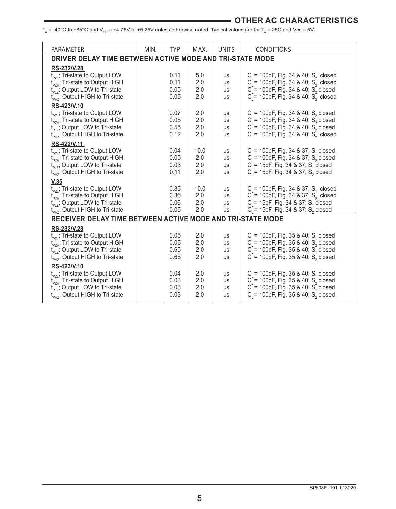#### **ELECTRICAL SPECIFICATIONS OTHER AC CHARACTERISTICS**

 $T_A$  = -40°C to +85°C and V<sub>cc</sub> = +4.75V to +5.25V unless otherwise noted. Typical values are for  $T_A$  = 25C and Vcc = 5V.

| <b>PARAMETER</b>                                                                                         | MIN. | TYP.         | MAX.       | <b>UNITS</b> | <b>CONDITIONS</b>                                                                                  |
|----------------------------------------------------------------------------------------------------------|------|--------------|------------|--------------|----------------------------------------------------------------------------------------------------|
| DRIVER DELAY TIME BETWEEN ACTIVE MODE AND TRI-STATE MODE                                                 |      |              |            |              |                                                                                                    |
| RS-232/V.28                                                                                              |      |              |            |              |                                                                                                    |
| t <sub>pzi</sub> ; Tri-state to Output LOW                                                               |      | 0.11         | 5.0        | μs           | $C_i$ = 100pF, Fig. 34 & 40; S <sub>2</sub> closed                                                 |
| t <sub>PZH</sub> ; Tri-state to Output HIGH                                                              |      | 0.11         | 2.0        | μs           | $C_i = 100pF$ , Fig. 34 & 40; $S_i$ closed                                                         |
| t <sub>PLZ</sub> ; Output LOW to Tri-state<br>t <sub>PHZ</sub> ; Output HIGH to Tri-state                |      | 0.05<br>0.05 | 2.0<br>2.0 | μs<br>μs     | $C_i = 100pF$ , Fig. 34 & 40; $S_2$ closed<br>$C_i = 100pF$ , Fig. 34 & 40; $S_i$ closed           |
| RS-423/V.10                                                                                              |      |              |            |              |                                                                                                    |
|                                                                                                          |      | 0.07         | 2.0        | μs           | $C_i$ = 100pF, Fig. 34 & 40; S <sub>2</sub> closed                                                 |
| t <sub>pzi</sub> ; Tri-state to Output LOW<br>t <sub>pzH</sub> ; Tri-state to Output HIGH                |      | 0.05         | 2.0        | μs           |                                                                                                    |
| t <sub>PLZ</sub> ; Output LOW to Tri-state                                                               |      | 0.55         | 2.0        | μs           | $C_1 = 100pF$ , Fig. 34 & 40; $S_2$ closed<br>$C_1 = 100pF$ , Fig. 34 & 40; $S_2$ closed           |
| t <sub>PH7</sub> ; Output HIGH to Tri-state                                                              |      | 0.12         | 2.0        | μs           | $C_i^2$ = 100pF, Fig. 34 & 40; $S_2^2$ closed                                                      |
| RS-422/V.11                                                                                              |      |              |            |              |                                                                                                    |
| t <sub><sub>P71</sub>; Tri-state to Output LOW</sub>                                                     |      | 0.04         | 10.0       | μs           | $C1$ = 100pF, Fig. 34 & 37; S <sub>4</sub> closed                                                  |
| $t_{\text{pZH}}^{t_{\text{Z}}}$ , Tri-state to Output HIGH<br>$t_{\text{pZH}}$ , Output LOW to Tri-state |      | 0.05<br>0.03 | 2.0<br>2.0 | μs           | $C_i = 100pF$ , Fig. 34 & 37; S <sub>2</sub> closed                                                |
| t <sub>PH7</sub> ; Output HIGH to Tri-state                                                              |      | 0.11         | 2.0        | μs<br>μs     | $C_i = 15pF$ , Fig. 34 & 37; S, closed<br>$C = 15pF$ , Fig. 34 & 37; S <sub>2</sub> closed         |
| V.35                                                                                                     |      |              |            |              |                                                                                                    |
| t <sub><sub>PZI</sub>; Tri-state to Output LOW</sub>                                                     |      | 0.85         | 10.0       | μs           | $C_i$ = 100pF, Fig. 34 & 37; S <sub>1</sub> closed                                                 |
| $t_{\rm pZH}$ ; Tri-state to Output HIGH                                                                 |      | 0.36         | 2.0        | μs           | $C_i = 100pF$ , Fig. 34 & 37; S <sub>2</sub> closed                                                |
| $t_{PIZ}$ ; Output LOW to Tri-state                                                                      |      | 0.06         | 2.0        | μs           | $C_i = 15pF$ , Fig. 34 & 37; S, closed                                                             |
| t <sub>PH7</sub> ; Output HIGH to Tri-state                                                              |      | 0.05         | 2.0        | μs           | $C_i = 15pF$ , Fig. 34 & 37; S <sub>2</sub> closed                                                 |
| RECEIVER DELAY TIME BETWEEN ACTIVE MODE AND TRI-STATE MODE                                               |      |              |            |              |                                                                                                    |
| RS-232/V.28                                                                                              |      |              |            |              |                                                                                                    |
| t <sub>PZL</sub> ; Tri-state to Output LOW                                                               |      | 0.05         | 2.0        | μs           | $C1$ = 100pF, Fig. 35 & 40; S <sub>4</sub> closed                                                  |
| F <sub>PZH</sub> ; Tri-state to Output HIGH<br>t <sub>PLZ</sub> ; Output LOW to Tri-state                |      | 0.05<br>0.65 | 2.0<br>2.0 | μs<br>μs     | $C_i^2$ = 100pF, Fig. 35 & 40, S <sub>2</sub> closed<br>$C_i = 100pF$ , Fig. 35 & 40; $S_i$ closed |
| $t_{\text{PHZ}}^{\text{UL}}$ ; Output HIGH to Tri-state                                                  |      | 0.65         | 2.0        | μs           | $C = 100pF$ , Fig. 35 & 40, S, closed                                                              |
| RS-423/V.10                                                                                              |      |              |            |              |                                                                                                    |
|                                                                                                          |      | 0.04         | 2.0        | μs           | $C1$ = 100pF, Fig. 35 & 40; S <sub>4</sub> closed                                                  |
| $t_{PZL}$ ; Tri-state to Output LOW<br>$t_{PZH}$ ; Tri-state to Output HIGH                              |      | 0.03         | 2.0        | μs           | $C_i = 100pF$ , Fig. 35 & 40, S <sub>2</sub> closed                                                |
| t <sub>PLZ</sub> , Output LOW to Tri-state                                                               |      | 0.03         | 2.0        | μs           | $C_i = 100pF$ , Fig. 35 & 40; S <sub>1</sub> closed                                                |
| t <sub>PHZ</sub> ; Output HIGH to Tri-state                                                              |      | 0.03         | 2.0        | μs           | $C_i = 100pF$ , Fig. 35 & 40; S <sub>2</sub> closed                                                |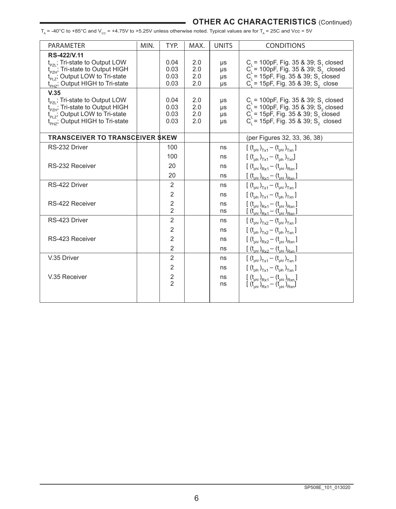#### **OTHER AC CHARACTERISTICS** (Continued)

 $T_A$  = -40°C to +85°C and V<sub>cc</sub> = +4.75V to +5.25V unless otherwise noted. Typical values are for  $T_A$  = 25C and Vcc = 5V

| <b>PARAMETER</b>                                                            | MIN. | TYP.           | MAX.       | <b>UNITS</b> | <b>CONDITIONS</b>                                                                                               |
|-----------------------------------------------------------------------------|------|----------------|------------|--------------|-----------------------------------------------------------------------------------------------------------------|
| RS-422/V.11                                                                 |      |                |            |              |                                                                                                                 |
| t <sub>pzi</sub> ; Tri-state to Output LOW                                  |      | 0.04           | 2.0        | μs           | $C_i = 100pF$ , Fig. 35 & 39; S, closed                                                                         |
| $t_{PZH}$ ; Tri-state to Output HIGH<br>$t_{PLZ}$ , Output LOW to Tri-state |      | 0.03<br>0.03   | 2.0<br>2.0 | μs<br>μs     | $C_i = 100pF$ , Fig. 35 & 39; S <sub>2</sub> closed<br>$C_i = 15pF$ , Fig. 35 & 39; S, closed                   |
| $t_{\text{PHZ}}$ ; Output HIGH to Tri-state                                 |      | 0.03           | 2.0        | us           | $C_i = 15pF$ , Fig. 35 & 39; S <sub>2</sub> close                                                               |
| V.35                                                                        |      |                |            |              |                                                                                                                 |
| $t_{p_{7}}$ ; Tri-state to Output LOW                                       |      | 0.04           | 2.0        | μs           | $C_i = 100pF$ , Fig. 35 & 39; S, closed                                                                         |
| $t_{\rm pZH}^{\rm CL}$ ; Tri-state to Output HIGH                           |      | 0.03           | 2.0        | μs           | $C_i = 100pF$ , Fig. 35 & 39; S <sub>2</sub> closed                                                             |
| $t_{PI}$ ; Output LOW to Tri-state                                          |      | 0.03           | 2.0<br>2.0 | μs           | $C_1 = 15pF$ , Fig. 35 & 39; S <sub>1</sub> closed                                                              |
| $t_{\text{PHZ}}$ ; Output HIGH to Tri-state                                 |      | 0.03           |            | $\mu s$      | $C_i = 15pF$ , Fig. 35 & 39; S <sub>2</sub> closed                                                              |
| <b>TRANSCEIVER TO TRANSCEIVER SKEW</b>                                      |      |                |            |              | (per Figures 32, 33, 36, 38)                                                                                    |
| RS-232 Driver                                                               |      | 100            |            | ns           | $[(t_{\text{oh}})_{\text{Tx1}} - (t_{\text{oh}})_{\text{Txn}}]$                                                 |
|                                                                             |      | 100            |            | ns           | $[(t_{\text{olh}})_{\text{Tx1}} - (t_{\text{olh}})_{\text{Txn}}]$                                               |
| RS-232 Receiver                                                             |      | 20             |            | ns           | $[(t_{\text{phi}})_{Rx1} - (t_{\text{phi}})_{Rx1}]$                                                             |
|                                                                             |      | 20             |            | ns           | $[(t_{\text{phi}})_{\text{Rx1}} - (t_{\text{phi}})_{\text{Rxn}}]$                                               |
| RS-422 Driver                                                               |      | 2              |            | ns           | $[(t_{\text{phi}})_{\text{Tx1}} - (t_{\text{phi}})_{\text{Txn}}]$                                               |
|                                                                             |      | 2              |            | ns           | $[(t_{\text{olh}})_{\text{Tx1}} - (t_{\text{olh}})_{\text{Txn}}]$                                               |
| RS-422 Receiver                                                             |      | $\overline{2}$ |            | ns           | $\frac{[ (t_{\rm ph})_{\rm Rx1} - (t_{\rm ph})_{\rm Rxn}]}{[ (t_{\rm ph})_{\rm Rx1} - (t_{\rm ph})_{\rm Rxn}]}$ |
|                                                                             |      | $\overline{2}$ |            | ns           |                                                                                                                 |
| RS-423 Driver                                                               |      | $\overline{2}$ |            | ns           | $[(t_{\text{phi}})_{\text{Tx2}} - (t_{\text{phi}})_{\text{Txn}}]$                                               |
|                                                                             |      | $\overline{2}$ |            | ns           | $[(t_{\text{olh}})_{\text{Tx2}} - (t_{\text{olh}})_{\text{Txn}}]$                                               |
| RS-423 Receiver                                                             |      | 2              |            | ns           | $[{ (t_{ph})}_{Rx2} - (t_{ph})_{Rxn} ]$                                                                         |
|                                                                             |      | $\overline{2}$ |            | ns           | $[(t_{\text{phi}})_{Rx2} - (t_{\text{phi}})_{Rx2}]$                                                             |
| V.35 Driver                                                                 |      | $\overline{2}$ |            | ns           | $[(t_{ph})_{T\times 1} - (t_{ph})_{T\times n}]$                                                                 |
|                                                                             |      | 2              |            | ns           | $[(t_{\text{plh}})_{\text{Tx1}} - (t_{\text{plh}})_{\text{Txn}}]$                                               |
| V.35 Receiver                                                               |      | $\frac{2}{2}$  |            | ns           | $[(t_{ph})_{Rx1} - (t_{ph})_{Rxn}]$                                                                             |
|                                                                             |      |                |            | ns           | $[(t_{\text{nh}})_{\text{Rv1}} - (t_{\text{nh}})_{\text{Rv1}}]$                                                 |
|                                                                             |      |                |            |              |                                                                                                                 |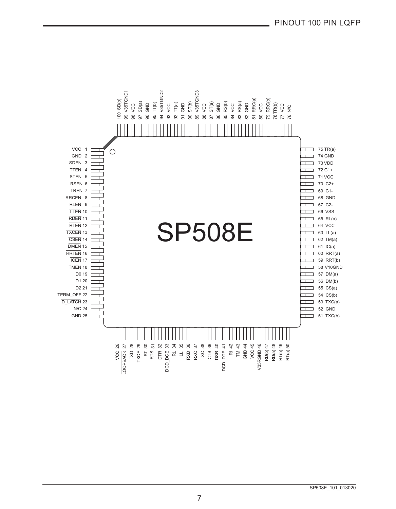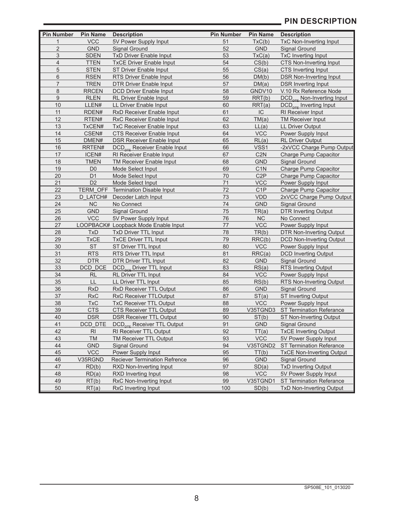#### **PIN DESCRIPTION**

| <b>Pin Number</b> | <b>Pin Name</b> | <b>Description</b>                             | <b>Pin Number</b> | <b>Pin Name</b>  | <b>Description</b>                           |
|-------------------|-----------------|------------------------------------------------|-------------------|------------------|----------------------------------------------|
| $\mathbf{1}$      | <b>VCC</b>      | 5V Power Supply Input                          | 51                | TxC(b)           | <b>TxC Non-Inverting Input</b>               |
| $\overline{2}$    | <b>GND</b>      | <b>Signal Ground</b>                           | 52                | <b>GND</b>       | <b>Signal Ground</b>                         |
| 3                 | <b>SDEN</b>     | <b>TxD Driver Enable Input</b>                 | 53                | TxC(a)           | <b>TxC Inverting Input</b>                   |
| 4                 | <b>TTEN</b>     | <b>TxCE Driver Enable Input</b>                | 54                | CS(b)            | <b>CTS Non-Inverting Input</b>               |
| $\overline{5}$    | <b>STEN</b>     | ST Driver Enable Input                         | 55                | CS(a)            | CTS Inverting Input                          |
| $6\phantom{.}$    | <b>RSEN</b>     | RTS Driver Enable Input                        | 56                | DM(b)            | <b>DSR Non-Inverting Input</b>               |
| $\overline{7}$    | <b>TREN</b>     | <b>DTR Driver Enable Input</b>                 | 57                | DM(a)            | <b>DSR Inverting Input</b>                   |
| 8                 | <b>RRCEN</b>    | <b>DCD Driver Enable Input</b>                 | 58                | GNDV10           | V.10 Rx Reference Node                       |
| $9\,$             | <b>RLEN</b>     | RL Driver Enable Input                         | 59                | RRT(b)           | <b>DCD<sub>pTE</sub></b> Non-Inverting Input |
| 10                | LLEN#           | LL Driver Enable Input                         | 60                | RRT(a)           | DCD <sub>pTE</sub> Inverting Input           |
| 11                | RDEN#           | RxD Receiver Enable Input                      | 61                | IC               | RI Receiver Input                            |
| 12                | RTEN#           | <b>RxC Receiver Enable Input</b>               | 62                | TM(a)            | <b>TM Receiver Input</b>                     |
| 13                | TxCEN#          | <b>TxC Receiver Enable Input</b>               | 63                | LL(a)            | <b>LL Driver Output</b>                      |
| 14                | CSEN#           | <b>CTS Receiver Enable Input</b>               | 64                | <b>VCC</b>       | Power Supply Input                           |
| 15                | DMEN#           | <b>DSR Receiver Enable Input</b>               | 65                | RL(a)            | <b>RL Driver Output</b>                      |
| 16                | RRTEN#          | <b>DCD<sub>ore</sub></b> Receiver Enable Input | 66                | VSS1             | -2xVCC Charge Pump Output                    |
| 17                | ICEN#           | RI Receiver Enable Input                       | 67                | C2N              | <b>Charge Pump Capacitor</b>                 |
| 18                | <b>TMEN</b>     | <b>TM Receiver Enable Input</b>                | 68                | <b>GND</b>       | Signal Ground                                |
| 19                | D <sub>0</sub>  | Mode Select Input                              | 69                | C <sub>1</sub> N | <b>Charge Pump Capacitor</b>                 |
| 20                | D <sub>1</sub>  | Mode Select Input                              | 70                | C <sub>2</sub> P | Charge Pump Capacitor                        |
| 21                | D <sub>2</sub>  | Mode Select Input                              | 71                | <b>VCC</b>       | Power Supply Input                           |
| 22                | <b>TERM OFF</b> | <b>Termination Disable Input</b>               | 72                | C <sub>1</sub> P | Charge Pump Capacitor                        |
| 23                | D LATCH#        | Decoder Latch Input                            | 73                | <b>VDD</b>       | 2xVCC Charge Pump Output                     |
| 24                | <b>NC</b>       | No Connect                                     | 74                | GND              | <b>Signal Ground</b>                         |
| 25                | <b>GND</b>      | <b>Signal Ground</b>                           | 75                | TR(a)            | <b>DTR Inverting Output</b>                  |
| 26                | <b>VCC</b>      | 5V Power Supply Input                          | 76                | <b>NC</b>        | No Connect                                   |
| 27                |                 | LOOPBACK# Loopback Mode Enable Input           | 77                | <b>VCC</b>       | Power Supply Input                           |
| 28                | <b>TxD</b>      | <b>TxD Driver TTL Input</b>                    | 78                | TR(b)            | <b>DTR Non-Inverting Output</b>              |
| 29                | <b>TxCE</b>     | <b>TxCE Driver TTL Input</b>                   | 79                | RRC(b)           | <b>DCD Non-Inverting Output</b>              |
| 30                | <b>ST</b>       | ST Driver TTL Input                            | 80                | <b>VCC</b>       | Power Supply Input                           |
| 31                | <b>RTS</b>      | RTS Driver TTL Input                           | 81                | RRC(a)           | <b>DCD Inverting Output</b>                  |
| 32                | <b>DTR</b>      | <b>DTR Driver TTL Input</b>                    | 82                | <b>GND</b>       | Signal Ground                                |
| 33                | DCD DCE         | DCD <sub>pcE</sub> Driver TTL Input            | 83                | RS(a)            | <b>RTS Inverting Output</b>                  |
| $\frac{34}{5}$    | <b>RL</b>       | RL Driver TTL Input                            | 84                | <b>VCC</b>       | Power Supply Input                           |
| 35                | LL              | LL Driver TTL Input                            | 85                | RS(b)            | RTS Non-Inverting Output                     |
| 36                | <b>RxD</b>      | <b>RxD Receiver TTL Output</b>                 | 86                | <b>GND</b>       | <b>Signal Ground</b>                         |
| 37                | <b>RxC</b>      | <b>RxC Receiver TTLOutput</b>                  | 87                | ST(a)            | <b>ST Inverting Output</b>                   |
| 38                | <b>TxC</b>      | <b>TxC Receiver TTL Output</b>                 | 88                | <b>VCC</b>       | Power Supply Input                           |
| 39                | <b>CTS</b>      | <b>CTS Receiver TTL Output</b>                 | 89                | V35TGND3         | <b>ST Termination Referance</b>              |
| 40                | <b>DSR</b>      | <b>DSR Receiver TTL Output</b>                 | 90                | ST(b)            | ST Non-Inverting Output                      |
| 41                | DCD_DTE         | <b>DCD<sub>pTE</sub></b> Receiver TTL Output   | 91                | <b>GND</b>       | <b>Signal Ground</b>                         |
| 42                | $\mathsf{RI}$   | RI Receiver TTL Output                         | 92                | TT(a)            | <b>TxCE Inverting Output</b>                 |
| 43                | <b>TM</b>       | <b>TM Receiver TTL Output</b>                  | 93                | <b>VCC</b>       | 5V Power Supply Input                        |
| 44                | <b>GND</b>      | Signal Ground                                  | 94                | V35TGND2         | <b>ST Termination Referance</b>              |
| 45                | <b>VCC</b>      | Power Supply Input                             | 95                | TT(b)            | <b>TxCE Non-Inverting Output</b>             |
| 46                | V35RGND         | <b>Reciever Termination Refrence</b>           | 96                | <b>GND</b>       | <b>Signal Ground</b>                         |
| 47                | RD(b)           | RXD Non-Inverting Input                        | 97                | SD(a)            | <b>TxD Inverting Output</b>                  |
| 48                | RD(a)           | RXD Inverting Input                            | 98                | <b>VCC</b>       | 5V Power Supply Input                        |
| 49                | RT(b)           | RxC Non-Inverting Input                        | 99                | V35TGND1         | ST Termination Referance                     |
| 50                | RT(a)           | RxC Inverting Input                            | 100               | SD(b)            | <b>TxD Non-Inverting Output</b>              |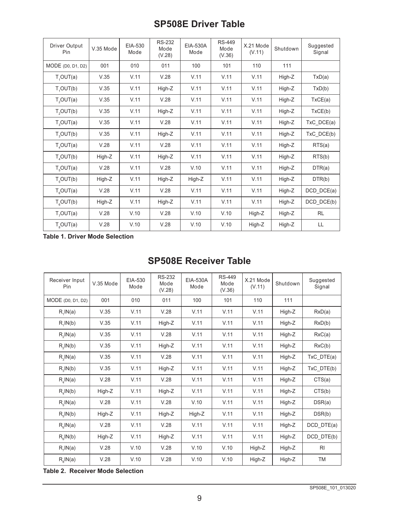## **SP508E Driver Table**

| Driver Output<br>Pin  | V.35 Mode | EIA-530<br>Mode | <b>RS-232</b><br>Mode<br>(V.28) | EIA-530A<br>Mode | <b>RS-449</b><br>Mode<br>(V.36) | X.21 Mode<br>(V.11) | Shutdown | Suggested<br>Signal |
|-----------------------|-----------|-----------------|---------------------------------|------------------|---------------------------------|---------------------|----------|---------------------|
| MODE (D0, D1, D2)     | 001       | 010             | 011                             | 100              | 101                             | 110                 | 111      |                     |
| T <sub>1</sub> OUT(a) | V.35      | V.11            | V.28                            | V.11             | V.11                            | V.11                | High-Z   | TxD(a)              |
| T <sub>1</sub> OUT(b) | V.35      | V.11            | High-Z                          | V.11             | V.11                            | V.11                | High-Z   | TxD(b)              |
| T <sub>2</sub> OUT(a) | V.35      | V.11            | V.28                            | V.11             | V.11                            | V.11                | High-Z   | TxCE(a)             |
| T <sub>2</sub> OUT(b) | V.35      | V.11            | High-Z                          | V.11             | V.11                            | V.11                | High-Z   | TxCE(b)             |
| T <sub>3</sub> OUT(a) | V.35      | V.11            | V.28                            | V.11             | V.11                            | V.11                | High-Z   | TxC DCE(a)          |
| T <sub>s</sub> OUT(b) | V.35      | V.11            | High-Z                          | V.11             | V.11                            | V.11                | High-Z   | TxC DCE(b)          |
| $T_A$ OUT $(a)$       | V.28      | V.11            | V.28                            | V.11             | V.11                            | V.11                | High-Z   | RTS(a)              |
| T <sub>A</sub> OUT(b) | High-Z    | V.11            | High-Z                          | V.11             | V.11                            | V.11                | High-Z   | RTS(b)              |
| T <sub>5</sub> OUT(a) | V.28      | V.11            | V.28                            | V.10             | V.11                            | V.11                | High-Z   | DTR(a)              |
| $T_c$ OUT(b)          | High-Z    | V.11            | High-Z                          | High-Z           | V.11                            | V.11                | High-Z   | DTR(b)              |
| $T_{e}$ OUT $(a)$     | V.28      | V.11            | V.28                            | V.11             | V.11                            | V.11                | High-Z   | DCD DCE(a)          |
| $T_c$ OUT $(b)$       | High-Z    | V.11            | High-Z                          | V.11             | V.11                            | V.11                | High-Z   | DCD DCE(b)          |
| $T_7$ OUT $(a)$       | V.28      | V.10            | V.28                            | V.10             | V.10                            | High-Z              | High-Z   | <b>RL</b>           |
| T <sub>s</sub> OUT(a) | V.28      | V.10            | V.28                            | V.10             | V.10                            | High-Z              | High-Z   | LL                  |

**Table 1. Driver Mode Selection**

# **SP508E Receiver Table**

| Receiver Input<br>Pin | V.35 Mode | EIA-530<br>Mode | <b>RS-232</b><br>Mode<br>(V.28) | <b>EIA-530A</b><br>Mode | <b>RS-449</b><br>Mode<br>(V.36) | X.21 Mode<br>(V.11) | Shutdown | Suggested<br>Signal |
|-----------------------|-----------|-----------------|---------------------------------|-------------------------|---------------------------------|---------------------|----------|---------------------|
| MODE (D0, D1, D2)     | 001       | 010             | 011                             | 100                     | 101                             | 110                 | 111      |                     |
| $R_1IN(a)$            | V.35      | V.11            | V.28                            | V.11                    | V.11                            | V.11                | High-Z   | RxD(a)              |
| $R_1IN(b)$            | V.35      | V.11            | High-Z                          | V.11                    | V.11                            | V.11                | High-Z   | RxD(b)              |
| $R_2IN(a)$            | V.35      | V.11            | V.28                            | V.11                    | V.11                            | V.11                | High-Z   | RxC(a)              |
| $R_2IN(b)$            | V.35      | V.11            | High-Z                          | V.11                    | V.11                            | V.11                | High-Z   | RxC(b)              |
| $R_{3}$ IN(a)         | V.35      | V.11            | V.28                            | V.11                    | V.11                            | V.11                | High-Z   | TxC DTE(a)          |
| $R_{3}$ IN(b)         | V.35      | V.11            | High-Z                          | V.11                    | V.11                            | V.11                | High-Z   | TxC DTE(b)          |
| $R_{\text{A}}$ IN(a)  | V.28      | V.11            | V.28                            | V.11                    | V.11                            | V.11                | High-Z   | CTS(a)              |
| $R_{\text{A}}$ IN(b)  | High-Z    | V.11            | High-Z                          | V.11                    | V.11                            | V.11                | High-Z   | CTS(b)              |
| $R_{\epsilon}$ IN(a)  | V.28      | V.11            | V.28                            | V.10                    | V.11                            | V.11                | High-Z   | DSR(a)              |
| $R_c$ IN(b)           | High-Z    | V.11            | High-Z                          | High-Z                  | V.11                            | V.11                | High-Z   | DSR(b)              |
| $R_e$ IN(a)           | V.28      | V.11            | V.28                            | V.11                    | V.11                            | V.11                | High-Z   | DCD DTE(a)          |
| $R_{\rm s}$ IN(b)     | High-Z    | V.11            | High-Z                          | V.11                    | V.11                            | V.11                | High-Z   | DCD DTE(b)          |
| $R_{7}$ IN(a)         | V.28      | V.10            | V.28                            | V.10                    | V.10                            | High-Z              | High-Z   | RI                  |
| $R_oIN(a)$            | V.28      | V.10            | V.28                            | V.10                    | V.10                            | High-Z              | High-Z   | <b>TM</b>           |

**Table 2. Receiver Mode Selection**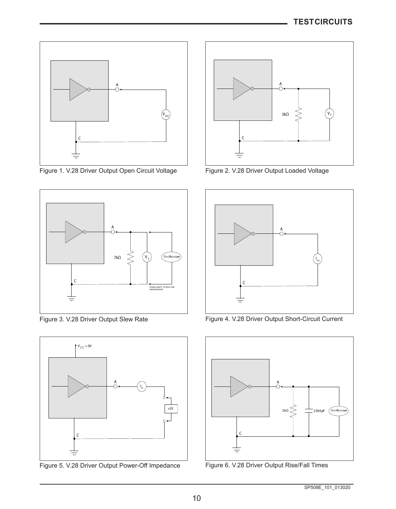

Figure 1. V.28 Driver Output Open Circuit Voltage Figure 2. V.28 Driver Output Loaded Voltage





Figure 5. V.28 Driver Output Power-Off Impedance Figure 6. V.28 Driver Output Rise/Fall Times





Figure 3. V.28 Driver Output Slew Rate Figure 4. V.28 Driver Output Short-Circuit Current

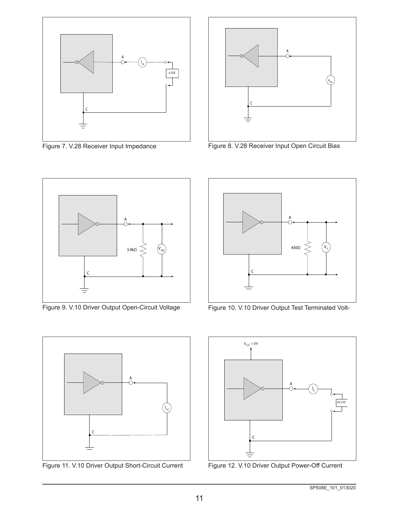

Figure 7. V.28 Receiver Input Impedance



Figure 8. V.28 Receiver Input Open Circuit Bias



Figure 9. V.10 Driver Output Open-Circuit Voltage



Figure 11. V.10 Driver Output Short-Circuit Current



Figure 10. V.10 Driver Output Test Terminated Volt-



Figure 12. V.10 Driver Output Power-Off Current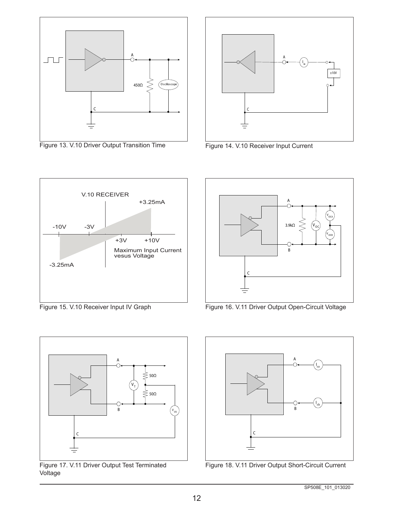

Figure 13. V.10 Driver Output Transition Time



Figure 14. V.10 Receiver Input Current



Figure 15. V.10 Receiver Input IV Graph



Figure 16. V.11 Driver Output Open-Circuit Voltage



Figure 17. V.11 Driver Output Test Terminated Voltage



Figure 18. V.11 Driver Output Short-Circuit Current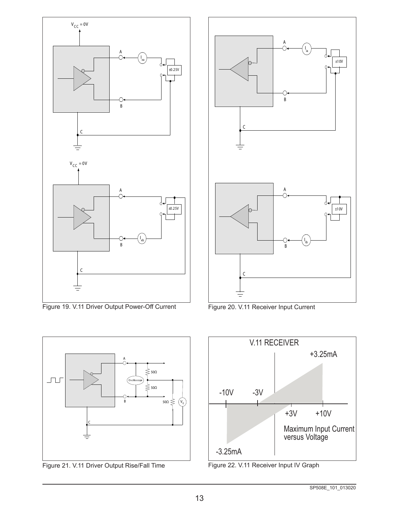

Figure 19. V.11 Driver Output Power-Off Current Figure 20. V.11 Receiver Input Current







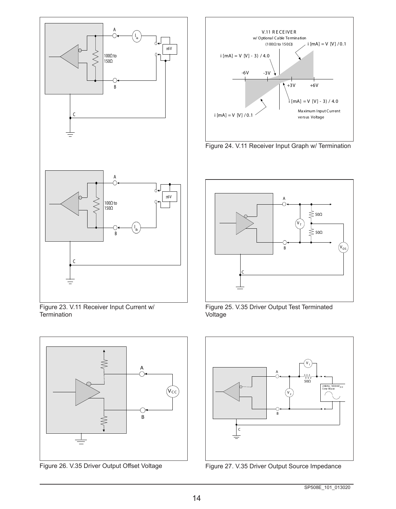

Figure 23. V.11 Receiver Input Current w/ **Termination** 





Figure 24. V.11 Receiver Input Graph w/ Termination



Figure 25. V.35 Driver Output Test Terminated Voltage



Figure 26. V.35 Driver Output Offset Voltage Figure 27. V.35 Driver Output Source Impedance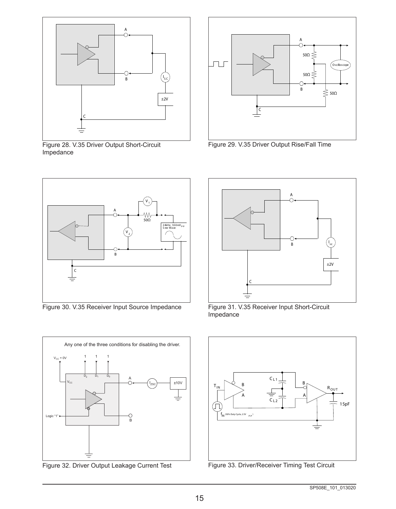

Figure 28. V.35 Driver Output Short-Circuit Impedance



Figure 29. V.35 Driver Output Rise/Fall Time



Figure 30. V.35 Receiver Input Source Impedance



Figure 32. Driver Output Leakage Current Test Figure 33. Driver/Receiver Timing Test Circuit



Figure 31. V.35 Receiver Input Short-Circuit Impedance

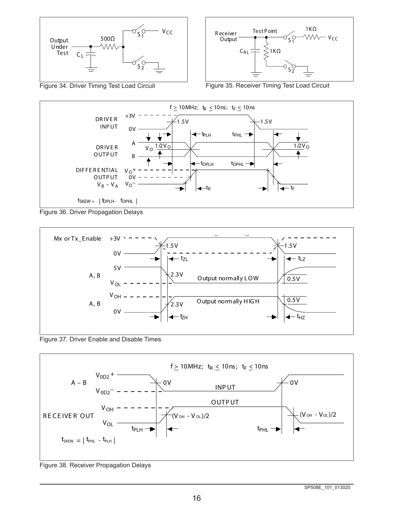



Figure 34. Driver Timing Test Load Circuit Figure 35. Receiver Timing Test Load Circuit



Figure 36. Driver Propagation Delays



Figure 37. Driver Enable and Disable Times



Figure 38. Receiver Propagation Delays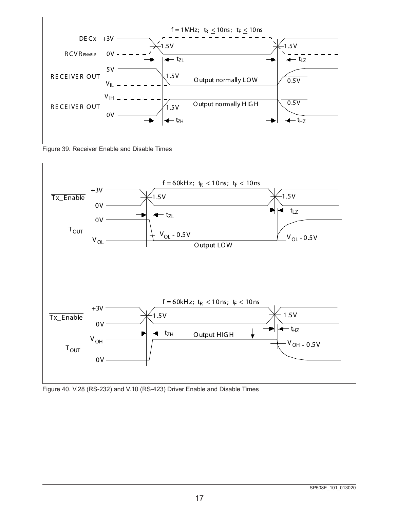





Figure 40. V.28 (RS-232) and V.10 (RS-423) Driver Enable and Disable Times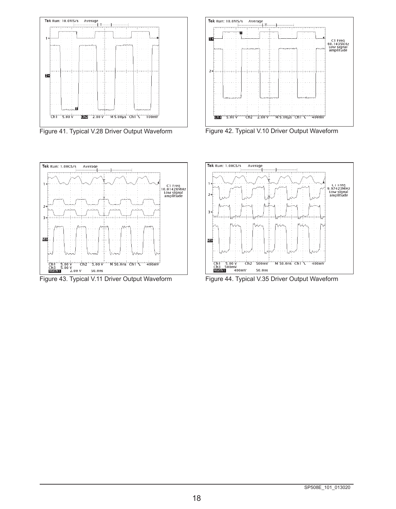



Figure 43. Typical V.11 Driver Output Waveform Figure 44. Typical V.35 Driver Output Waveform



Figure 41. Typical V.28 Driver Output Waveform Figure 42. Typical V.10 Driver Output Waveform

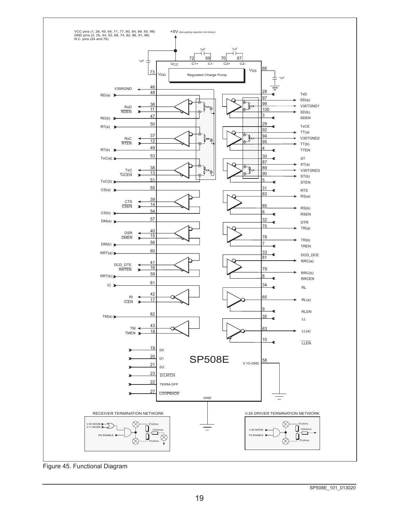

Figure 45. Functional Diagram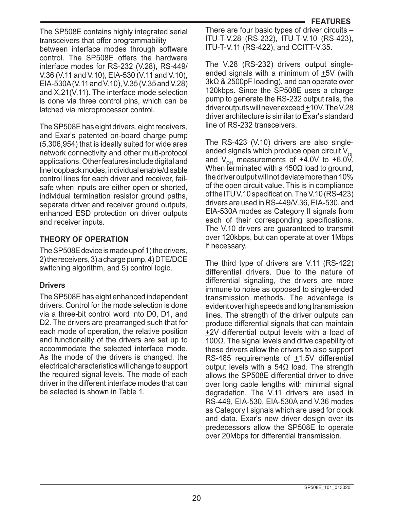The SP508E contains highly integrated serial transceivers that offer programmability between interface modes through software control. The SP508E offers the hardware interface modes for RS-232 (V.28), RS-449/ V.36 (V.11 and V.10), EIA-530 (V.11 and V.10), EIA-530A (V.11 and V.10), V.35 (V.35 and V.28) and X.21(V.11). The interface mode selection is done via three control pins, which can be latched via microprocessor control.

The SP508E has eight drivers, eight receivers, and Exar's patented on-board charge pump (5,306,954) that is ideally suited for wide area network connectivity and other multi-protocol applications. Other features include digital and line loopback modes, individual enable/disable control lines for each driver and receiver, failsafe when inputs are either open or shorted, individual termination resistor ground paths, separate driver and receiver ground outputs. enhanced ESD protection on driver outputs and receiver inputs.

#### **THEORY OF OPERATION**

The SP508E device is made up of 1) the drivers, 2) the receivers, 3) a charge pump, 4) DTE/DCE switching algorithm, and 5) control logic.

#### **Drivers**

The SP508E has eight enhanced independent drivers. Control for the mode selection is done via a three-bit control word into D0, D1, and D2. The drivers are prearranged such that for each mode of operation, the relative position and functionality of the drivers are set up to accommodate the selected interface mode. As the mode of the drivers is changed, the electrical characteristics will change to support the required signal levels. The mode of each driver in the different interface modes that can be selected is shown in Table 1.

There are four basic types of driver circuits – ITU-T-V.28 (RS-232), ITU-T-V.10 (RS-423), ITU-T-V.11 (RS-422), and CCITT-V.35.

The V.28 (RS-232) drivers output singleended signals with a minimum of +5V (with 3kΩ & 2500pF loading), and can operate over 120kbps. Since the SP508E uses a charge pump to generate the RS-232 output rails, the driver outputs will never exceed +10V. The V.28 driver architecture is similar to Exar's standard line of RS-232 transceivers.

The RS-423 (V.10) drivers are also singleended signals which produce open circuit V<sub>oL</sub> and  $V_{\text{OH}}$  measurements of  $\pm 4.0V$  to  $\pm 6.0V$ . When terminated with a 450Ω load to ground, the driver output will not deviate more than 10% of the open circuit value. This is in compliance of the ITU V.10 specification. The V.10 (RS-423) drivers are used in RS-449/V.36, EIA-530, and EIA-530A modes as Category II signals from each of their corresponding specifications. The V.10 drivers are guaranteed to transmit over 120kbps, but can operate at over 1Mbps if necessary.

The third type of drivers are V.11 (RS-422) differential drivers. Due to the nature of differential signaling, the drivers are more immune to noise as opposed to single-ended transmission methods. The advantage is evident over high speeds and long transmission lines. The strength of the driver outputs can produce differential signals that can maintain +2V differential output levels with a load of 100Ω. The signal levels and drive capability of these drivers allow the drivers to also support RS-485 requirements of +1.5V differential output levels with a 54Ω load. The strength allows the SP508E differential driver to drive over long cable lengths with minimal signal degradation. The V.11 drivers are used in RS-449, EIA-530, EIA-530A and V.36 modes as Category I signals which are used for clock and data. Exar's new driver design over its predecessors allow the SP508E to operate over 20Mbps for differential transmission.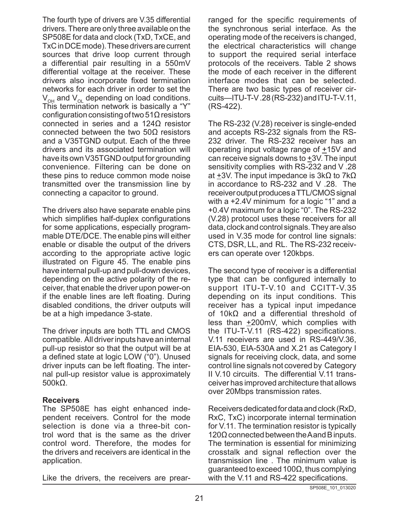The fourth type of drivers are V.35 differential drivers. There are only three available on the SP508E for data and clock (TxD, TxCE, and TxC in DCE mode). These drivers are current sources that drive loop current through a differential pair resulting in a 550mV differential voltage at the receiver. These drivers also incorporate fixed termination networks for each driver in order to set the  $V_{\text{OH}}$  and  $V_{\text{OL}}$  depending on load conditions. This termination network is basically a "Y" configuration consisting of two 51 $\Omega$  resistors connected in series and a 124Ω resistor connected between the two 50Ω resistors and a V35TGND output. Each of the three drivers and its associated termination will have its own V35TGND output for grounding convenience. Filtering can be done on these pins to reduce common mode noise transmitted over the transmission line by connecting a capacitor to ground.

The drivers also have separate enable pins which simplifies half-duplex configurations for some applications, especially programmable DTE/DCE. The enable pins will either enable or disable the output of the drivers according to the appropriate active logic illustrated on Figure 45. The enable pins have internal pull-up and pull-down devices, depending on the active polarity of the receiver, that enable the driver upon power-on if the enable lines are left floating. During disabled conditions, the driver outputs will be at a high impedance 3-state.

The driver inputs are both TTL and CMOS compatible. All driver inputs have an internal pull-up resistor so that the output will be at a defined state at logic LOW ("0"). Unused driver inputs can be left floating. The internal pull-up resistor value is approximately 500kΩ.

#### **Receivers**

The SP508E has eight enhanced independent receivers. Control for the mode selection is done via a three-bit control word that is the same as the driver control word. Therefore, the modes for the drivers and receivers are identical in the application.

Like the drivers, the receivers are prear-

ranged for the specific requirements of the synchronous serial interface. As the operating mode of the receivers is changed, the electrical characteristics will change to support the required serial interface protocols of the receivers. Table 2 shows the mode of each receiver in the different interface modes that can be selected. There are two basic types of receiver circuits—ITU-T-V .28 (RS-232) and ITU-T-V.11, (RS-422).

The RS-232 (V.28) receiver is single-ended and accepts RS-232 signals from the RS-232 driver. The RS-232 receiver has an operating input voltage range of +15V and can receive signals downs to  $\pm 3V$ . The input sensitivity complies with RS-232 and V .28 at +3V. The input impedance is 3kΩ to 7kΩ in accordance to RS-232 and V .28. The receiver output produces a TTL/CMOS signal with a +2.4V minimum for a logic "1" and a +0.4V maximum for a logic "0". The RS-232 (V.28) protocol uses these receivers for all data, clock and control signals. They are also used in V.35 mode for control line signals: CTS, DSR, LL, and RL. The RS-232 receivers can operate over 120kbps.

The second type of receiver is a differential type that can be configured internally to support ITU-T-V.10 and CCITT-V.35 depending on its input conditions. This receiver has a typical input impedance of 10kΩ and a differential threshold of less than  $\pm 200$ mV, which complies with the ITU-T-V.11 (RS-422) specifications. V.11 receivers are used in RS-449/V.36, EIA-530, EIA-530A and X.21 as Category I signals for receiving clock, data, and some control line signals not covered by Category II V.10 circuits. The differential V.11 transceiver has improved architecture that allows over 20Mbps transmission rates.

Receivers dedicated for data and clock (RxD, RxC, TxC) incorporate internal termination for V.11. The termination resistor is typically  $120\Omega$  connected between the A and B inputs. The termination is essential for minimizing crosstalk and signal reflection over the transmission line . The minimum value is guaranteed to exceed 100Ω, thus complying with the V.11 and RS-422 specifications.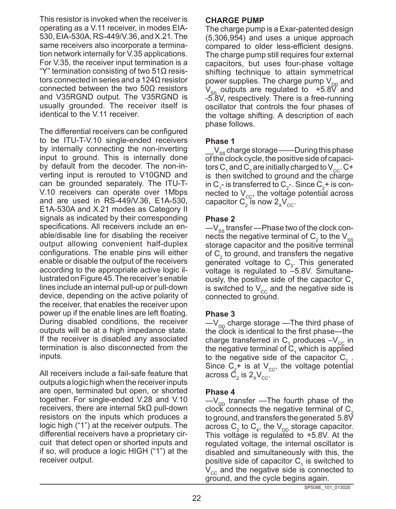This resistor is invoked when the receiver is operating as a V.11 receiver, in modes EIA-530, EIA-530A, RS-449/V.36, and X.21. The same receivers also incorporate a termination network internally for V.35 applications. For V.35, the receiver input termination is a "Y" termination consisting of two 51 $Ω$  resistors connected in series and a 124Ω resistor connected between the two 50Ω resistors and V35RGND output. The V35RGND is usually grounded. The receiver itself is identical to the V.11 receiver.

The differential receivers can be configured to be ITU-T-V.10 single-ended receivers by internally connecting the non-inverting input to ground. This is internally done by default from the decoder. The non-inverting input is rerouted to V10GND and can be grounded separately. The ITU-T-V.10 receivers can operate over 1Mbps and are used in RS-449/V.36, E1A-530, E1A-530A and X.21 modes as Category II signals as indicated by their corresponding specifications. All receivers include an enable/disable line for disabling the receiver output allowing convenient half-duplex configurations. The enable pins will either enable or disable the output of the receivers according to the appropriate active logic illustrated on Figure 45. The receiver's enable lines include an internal pull-up or pull-down device, depending on the active polarity of the receiver, that enables the receiver upon power up if the enable lines are left floating. During disabled conditions, the receiver outputs will be at a high impedance state. If the receiver is disabled any associated termination is also disconnected from the inputs.

All receivers include a fail-safe feature that outputs a logic high when the receiver inputs are open, terminated but open, or shorted together. For single-ended V.28 and V.10 receivers, there are internal 5kΩ pull-down resistors on the inputs which produces a logic high ("1") at the receiver outputs. The differential receivers have a proprietary circuit that detect open or shorted inputs and if so, will produce a logic HIGH ("1") at the receiver output.

#### **CHARGE PUMP**

The charge pump is a Exar-patented design (5,306,954) and uses a unique approach compared to older less-efficient designs. The charge pump still requires four external capacitors, but uses four-phase voltage shifting technique to attain symmetrical power supplies. The charge pump  $V_{\text{on}}$  and  $V_{\rm ss}$  outputs are regulated to  $+5.8\overline{V}$  and -5.8V, respectively. There is a free-running oscillator that controls the four phases of the voltage shifting. A description of each phase follows.

#### **Phase 1**

 $V_{\rm ss}$  charge storage ——During this phase of the clock cycle, the positive side of capacitors C, and C<sub>2</sub> are initially charged to V<sub>cc</sub>. C+ is then switched to ground and the charge in C<sub>1</sub>- is transferred to C<sub>2</sub>-. Since C<sub>2</sub>+ is connected to  $V_{\text{cc}}$ , the voltage potential across capacitor  $\mathsf{C}_2^{}$  is now  $2_{\mathsf{x}} \mathsf{V}_{\mathsf{cc}}^{}$ .

#### **Phase 2**

 $-V_{ss}$  transfer —Phase two of the clock connects the negative terminal of  $\textsf{C}_\textsf{2}$  to the  $\textsf{V}_\textsf{ss}$ storage capacitor and the positive terminal of  $C_2$  to ground, and transfers the negative generated voltage to  $C_3$ . This generated voltage is regulated to –5.8V. Simultaneously, the positive side of the capacitor  $C_1$ is switched to  $V_{cc}$  and the negative side is connected to ground.

#### **Phase 3**

 $-V_{\text{DD}}$  charge storage —The third phase of the clock is identical to the first phase—the charge transferred in  $C_1$  produces  $-V_{\text{cc}}$  in the negative terminal of  $C_1$  which is applied to the negative side of the capacitor  $C_2$ . Since  $C_2^+$  is at  $V_{cc}$ , the voltage potential across  $\mathsf{C}_\mathsf{2}$  is  $\mathsf{2}_\mathsf{x} \mathsf{V}_\mathsf{cc}$ .

#### **Phase 4**

 $-V_{\text{DD}}$  transfer —The fourth phase of the clock connects the negative terminal of  $C<sub>2</sub>$ to ground, and transfers the generated 5.8V across  $C_2$  to  $C_4$ , the  $V_{DD}$  storage capacitor. This voltage is regulated to  $+5.8$ V. At the regulated voltage, the internal oscillator is disabled and simultaneously with this, the positive side of capacitor  $C_1$  is switched to  $V_{cc}$  and the negative side is connected to ground, and the cycle begins again.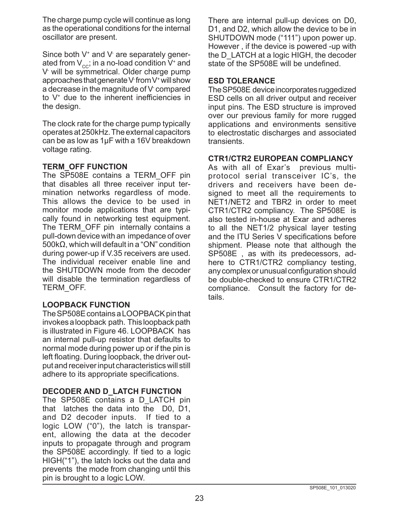The charge pump cycle will continue as long as the operational conditions for the internal oscillator are present.

Since both V+ and V- are separately generated from  $V_{cc}$ ; in a no-load condition  $V^*$  and V- will be symmetrical. Older charge pump approaches that generate V- from V+ will show a decrease in the magnitude of V- compared to V+ due to the inherent inefficiencies in the design.

The clock rate for the charge pump typically operates at 250kHz. The external capacitors can be as low as 1µF with a 16V breakdown voltage rating.

#### **TERM\_OFF FUNCTION**

The SP508E contains a TERM\_OFF pin that disables all three receiver input termination networks regardless of mode. This allows the device to be used in monitor mode applications that are typically found in networking test equipment. The TERM OFF pin internally contains a pull-down device with an impedance of over 500kΩ, which will default in a "ON" condition during power-up if V.35 receivers are used. The individual receiver enable line and the SHUTDOWN mode from the decoder will disable the termination regardless of TERM\_OFF.

#### **LOOPBACK FUNCTION**

The SP508E contains a LOOPBACK pin that invokes a loopback path. This loopback path is illustrated in Figure 46. LOOPBACK has an internal pull-up resistor that defaults to normal mode during power up or if the pin is left floating. During loopback, the driver output and receiver input characteristics will still adhere to its appropriate specifications.

#### **DECODER AND D\_LATCH FUNCTION**

The SP508E contains a D\_LATCH pin that latches the data into the D0, D1, and D2 decoder inputs. If tied to a logic LOW ("0"), the latch is transparent, allowing the data at the decoder inputs to propagate through and program the SP508E accordingly. If tied to a logic HIGH("1"), the latch locks out the data and prevents the mode from changing until this pin is brought to a logic LOW.

There are internal pull-up devices on D0, D1, and D2, which allow the device to be in SHUTDOWN mode ("111") upon power up. However , if the device is powered -up with the D\_LATCH at a logic HIGH, the decoder state of the SP508E will be undefined.

#### **ESD TOLERANCE**

The SP508E device incorporates ruggedized ESD cells on all driver output and receiver input pins. The ESD structure is improved over our previous family for more rugged applications and environments sensitive to electrostatic discharges and associated transients.

#### **CTR1/CTR2 EUROPEAN COMPLIANCY**

As with all of Exar's previous multiprotocol serial transceiver IC's, the drivers and receivers have been designed to meet all the requirements to NET1/NET2 and TBR2 in order to meet CTR1/CTR2 compliancy. The SP508E is also tested in-house at Exar and adheres to all the NET1/2 physical layer testing and the ITU Series V specifications before shipment. Please note that although the SP508E , as with its predecessors, adhere to CTR1/CTR2 compliancy testing, any complex or unusual configuration should be double-checked to ensure CTR1/CTR2 compliance. Consult the factory for details.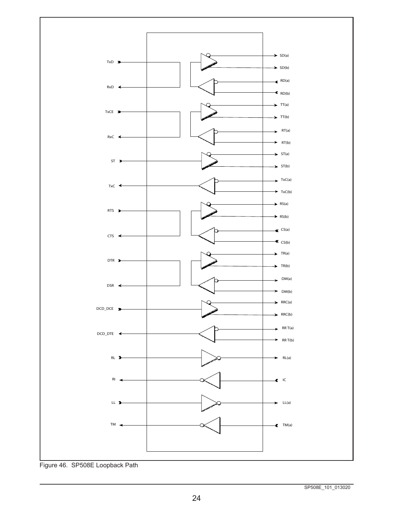

Figure 46. SP508E Loopback Path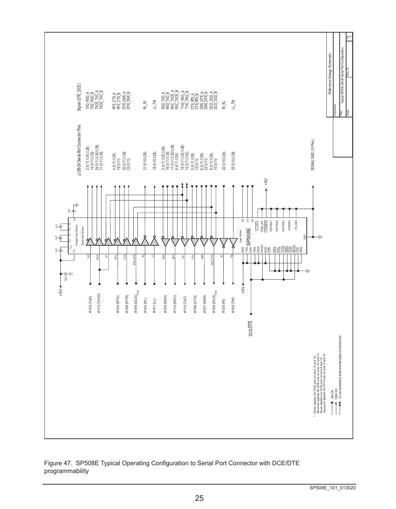Date : Doc. # : Rev. Typical SP508 DB-26 Serial Port Configuration Typical SP508 DB-26 Serial Port Configuration Reference Design Schematic Reference Design Schematic Signal (DTE\_DCE) DB-26 Serial Port Connector Pins Signal (DTE\_DCE)  $\begin{array}{l} \hbox{TO} \text{ RVD} \text{A} \\ \hbox{TO} \text{ RVD} \text{B} \\ \hbox{TCE} \text{TXO} \text{A} \\ \hbox{TCE} \text{TXO} \text{A} \\ \hbox{TCE} \text{TXO} \text{A} \\ \end{array}$  $\begin{array}{l} \text{RTS\_CTS\_A} \\ \text{RTS\_CTS\_B} \\ \text{DTR\_DSR\_A} \\ \text{DTR\_DSR\_B} \end{array}$  $\begin{array}{l} 820704\\ 8261702 \\ 820702 \\ 820704 \\ 820704 \\ 820704 \\ 820704 \\ 820704 \\ 820704 \\ 820704 \\ 820704 \\ 820704 \\ 820704 \\ 820704 \\ 820704 \\ 820704 \\ 820704 \\ 820704 \\ 820704 \\ 820704 \\ 820704 \\ 820704 \\ 820704 \\ 820704 \\ 820704 \\ 820704 \\ 820$ 24 (V.11, V.35, V.28) TXCE\_TXC\_A 11 (V.11, V.35) TXCE\_TXC\_B 17 (V.11, V.35, V.28) RXC\_TXCE\_A 9 (V.11, V.35) RXC\_TXCE\_B 15 (V.11, V.35, V.28) \*TXC\_RXC\_A 12 (V.11, V.35) \*TXC\_RXC\_B 8 (V.11, V.28) DCD\_DCD\_A 10 (V.11) DCD\_DCD\_B 2 (V.11, V.35, V.28) TXD\_RXD\_A 14 (V.11, V.35) TXD\_RXD\_B 4 (V.11, V.28) RTS\_CTS\_A  $20$  (V.11, V.28)  $\mu$ 23 (V.11) DTR\_DSR\_B 3 (V.11, V.35, V.28) RXD\_TXD\_A 16 (V.11, V.35) RXD\_TXD\_B 6 (V.11, V.28)  $\,$ 22 (V.11) DSR\_DTR\_B 19 (V.11) RTS\_CTS\_B  $5$  (V.11, V.28)  $\overline{A}$ 13 (V.11) CTS\_RTS\_B  $\mathbb{R}^{\mathbb{R}}$  $\mathsf{LL}$  TM LL TM  $\mathsf{RL}_{\mathsf{I}}$ 18 (V.10, V.28) LL\_TM 25 (V.10, V.28) LL\_TM 21 (V.10, V.28) RL\_RI 22 (V.10, V.28) RI\_RL Customer: Title : µ DB-26 Serial Rort Connector Pins SIGNAL GND (10 Pins) SIGNAL GND (10 Pins )  $\begin{array}{l} {\bf 3}\, \langle\mathcal{M},\mathcal{M},\mathcal{S}\mathcal{S}\rangle \\ {\bf 7}\, \langle\mathcal{M},\mathcal{M},\mathcal{S}\rangle \\ {\bf 8}\, \langle\mathcal{M},\mathcal{M},\mathcal{S}\rangle \\ {\bf 9}\, \langle\mathcal{M},\mathcal{M},\mathcal{S}\rangle \\ {\bf 9}\, \langle\mathcal{M},\mathcal{M},\mathcal{S}\rangle \\ {\bf 1}\, \langle\mathcal{M},\mathcal{M},\mathcal{S}\rangle \\ {\bf 1}\, \langle\mathcal{M},\mathcal{M},\mathcal{S}\rangle \\ {\bf 1}\, \langle\mathcal{$  $2(N11, V35, V28)$ <br>14 (V11, V35)<br>24 (V11, V35, V28)<br>11 (V11, V35) 4 (V.11, V.28)<br>19 (V.11)<br>20 (V.11, V.28)<br>23 (V.11) 18 (V.10, V.28) 21 (V.10, V.28) 22 (V.10, V.28) 25 (V.10, V.28)  $-5V$ LOOPBACK +5V  $\ddot{\Gamma}^{\shortparallel}$  $\mathbf{L}$ ∓ Ά C1+ C1+ Q2+ Q2+ TuF Τ Τ ⊤ V35TGND3 VSS V35RGND D0 D1 D2 V10\_GND D\_LATCH<br>T<u>ERM\_OFF</u><br>IOOPBACK<br>V35TGND2<br>V35TGND2 IEEN V10\_GND<br>GEN V<sub>DD</sub> C1+ C1- C2-ัััััััั Charge Pump Section 1µ F 1µ F Charge Pump Section Tansceiver Sedion Transceiver Section SP508E Logic Section ≨⊊ GND <u>y</u> E SE SIG I ØIØIØIØIØIØI  $\frac{1}{2}$   $\frac{1}{2}$ SEE y TxD RTS DTR DCD\_DCE RxD RxC TxC CTS DSR DCD<sub>DTE</sub>  $\ddot{a}$ TM ال<br>|a⊮ fi  $+5V$ +5V #109 (DCD) $_{\text{DCE}}$ #109 (DCD) $_{\text{DTE}}$ #113 (TXCE) #113 (TXCE) #105 (RTS) #108 (DTR) #105 (RXD) #115 (RXC) #107 (DSR) #106 (CTS)  $#103$  (TxD) #105 (RTS) #108 (DTR) #105 (RXD) #115 (RXC) #114 (TxC) #106 (CTS) #107 (DSR) #103 (TxD) #140 (RL) #141 (LL) #114 (TxC) #125 (RI) #142 (TM) DCE/DTE I/O Lines represented by double arrowhead signifies a bi-directional bus. Driver applies for DCE only on pins 15 and 12.<br>Receiver applies for DTE only on pins 15 and 12.<br>Receiver applies for DTE only on pins 15 and 12.<br>Receiver applies for DTE only on pins 8 and 10. Receiver applies for DTE only on pins 15 and 12. Receiver applies for DTE only on pins 8 and 10. \* - Driver applies f or DCE only on pins 15 and 12. Driver applies f or DCE only on pins 8 and 10. Input Line Output Line

Figure 47. SP508E Typical Operating Configuration to Serial Port Connector with DCE/DTE programmability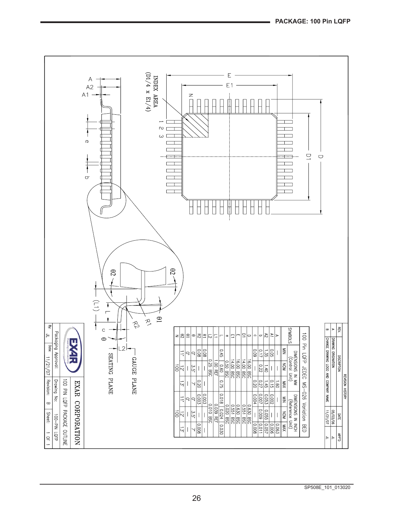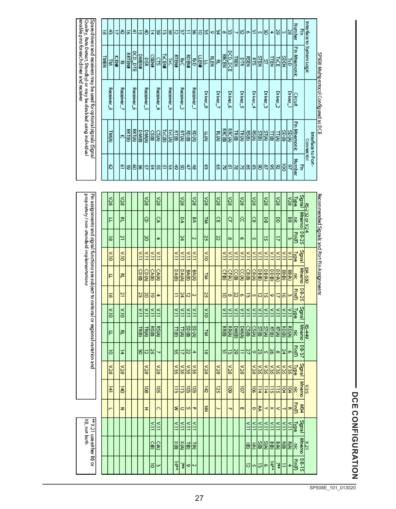| ï<br>Ï        |
|---------------|
| $\vdots$      |
| ī             |
| ı             |
| J             |
|               |
| $\vdots$<br>I |
| ֠             |
| f<br>l        |

| ಹ    | ð          | ₹  | Đ         | ಕ      | 幺              | 너             | 8                 | 회            |            |               |            |              |            |              |               | \$ 의왕 의김긔왕 의왕 희왕  अ 왕 |          |             |          |              |                 |       | আ‱⊠আসাহী≁ |          |   |          |    | ы        | ω  | ౹జ       | Number<br>킑          | Interfaceto                            |                                       |
|------|------------|----|-----------|--------|----------------|---------------|-------------------|--------------|------------|---------------|------------|--------------|------------|--------------|---------------|-----------------------|----------|-------------|----------|--------------|-----------------|-------|-----------|----------|---|----------|----|----------|----|----------|----------------------|----------------------------------------|---------------------------------------|
| TMEN | 긓          | 百里 | 쿈         | RRTEN# | <b>DCD_DTE</b> | <b>DIMEN#</b> | š                 | <b>CSEN#</b> | Э          | $\frac{1}{2}$ |            | <b>RTEN#</b> | K          | <b>KDBN#</b> | g             | <b>LLEN#</b>          | F        | <b>RLEN</b> | 콘        | <b>RRCEN</b> | bcp_pcE         | TREN  | 먧         | lã       | 띌 |          | 目型 | K        | l≌ | ιš       | F<br><b>Mnemonic</b> | System Logic                           |                                       |
|      | Receiver_8 |    | Receiver_ |        | Receiver_6     |               | Receiver_5        |              | Receiver_4 |               | Receiver_3 |              | Receiver_2 |              | Receiver_1    |                       | Driver_8 |             | Driver_7 |              | <b>Driver_6</b> |       | Driver_5  | Driver_4 |   | Driver_3 |    | Driver_Z |    | Driver_1 | Circuit              |                                        | SP508 Multiprotocol Configured as DCE |
|      | TMUN       |    | 75        | RRT(B) | <b>RRT(A)</b>  | <b>DiviB</b>  | DMW               | 똃            |            | TxC(B)        | <b>NOX</b> | 眉            | ē          | 8D (B)       | <b>RD (A)</b> |                       | 行论       |             | m<br>S   | RRC(B)       | massa           | TR(B) | 3월3월3월    |          |   |          |    | mр       | 영화 |          | F<br><b>Mnemonic</b> | Interface to Port-<br><b>Connector</b> |                                       |
|      | బి         |    | ē         |        |                |               | କାହାଧାରୀୟାଧାରୀହାର |              |            |               |            |              |            | 회            | お             |                       | వి       |             | ဇ္တ      | 9            | 의               |       | 의지히이이히이어  |          |   |          |    |          | ğ  | 8        | Number<br>꾉          |                                        |                                       |

|                                                                                        | 8ZN            | 8ZN           |  |       | న్ల        |         | 8Ō.        |  |               | న్ల         |              | న్           | 8ZX       | 820 |        | V28          |       | 8ZA          |       | 874      |            | 876        |       | న్ల          |              | 뼗            |               | Signal        | ø          |                                              |
|----------------------------------------------------------------------------------------|----------------|---------------|--|-------|------------|---------|------------|--|---------------|-------------|--------------|--------------|-----------|-----|--------|--------------|-------|--------------|-------|----------|------------|------------|-------|--------------|--------------|--------------|---------------|---------------|------------|----------------------------------------------|
| proprietary? non-standard implementations                                              | F              | 콛             |  |       | θ          |         | ç          |  |               | g           |              | ¥            | 넣         | A   |        | Ą            |       | 8            |       | G        |            | l S        |       | 8            |              | 8            | k             | <b>Mnemo</b>  | 132 or V24 | Recommended Signals and Port Pin Assignments |
|                                                                                        | ಹ              | 르             |  |       | 8          |         | 4          |  |               | 24          |              | ю            | g         | N   |        | œ            |       | ō,           |       | un)      |            | 등          |       | ₹            |              | ω            | PintP         | <b>DB-25</b>  |            |                                              |
|                                                                                        | ă              | orx.          |  | Ĕ     | Ĕ          | ĚĂ      | Ĕ          |  | Ĕ             | Ě           | Ĕ            | Ě            | ă         |     | Ě      | Ě            | Ě     | ЦĂ           | Ě     | Ě        | Ě          | Ě          | EX    | Ĕ            | Ś            | Ĕ            | hype          | <b>Signal</b> |            |                                              |
|                                                                                        | F              | 쿋             |  | CD(B) | <b>CDW</b> | CA(B)   | CA(A)      |  | DA(B)         | <b>DAGO</b> | <b>BA(B)</b> | <b>BA(A)</b> | g         |     | CF@)   | <b>CF(A)</b> | CC(B) | CC (A)       | CB(8) | CBW      | <b>DB@</b> | <b>DBW</b> | 0000  | <b>DD(A)</b> | (8) 88       | <b>BB(A)</b> | 롱             | Mnemo         | EA - 290   |                                              |
|                                                                                        | ಹ              | 르             |  | ν     | õ          | 5       | 4          |  | Ξ             | 74          | 局            | ω            | S,        |     | ă      | ାଧା∞         |       | ö            | Φ     | 하다       |            | ات         | ö     | ಸ            | 하이           |              | <b>Pin(F)</b> | <b>DB-25</b>  |            |                                              |
|                                                                                        | ă              | orx           |  | Ĕ     | Ĕ          | Ĕ       | Ě          |  | Ě             | Ĕ           | Ě            | EX           | ă         |     | Ĕ      | Ě            | Ě     | ЦÃ           | Ĕ     | Ě        | ЕÃ         | ĔΔ         | EX    | ă            | Ě            | ΕŔ           | hpe           | <b>Signal</b> |            |                                              |
| Pin assignments and signal functions are subject to national or regional variation and | F              | 쿋             |  | TR(B) | TRUAL      | ⊠<br> a | <b>RSW</b> |  | <b>TT(B)</b>  | mw          | <b>SD(B)</b> | <b>SDW</b>   | 넣         |     | E<br>B | ē            | DM(B) | <b>DM(A)</b> | မြိ   | 옗        |            | ăø         | RT(B) | ē            | <b>RD(B)</b> | ē            | ∣₹            | <b>Mnemo</b>  | 16449      |                                              |
|                                                                                        | ಕ              | $\frac{1}{4}$ |  | 8     | ನ          | 52      | Ń.         |  | 器             | 4           | N            | 4            | ಹ         |     | 혚      | اتا          | 8     | Ξ            | Z     |          |            | 하레이어       |       | $\infty$     | 봐            |              | Pin(P)        | 08-37         |            |                                              |
|                                                                                        | 826            | <b>82A</b>    |  |       | 87A        |         | 8CA        |  | ક્રિક્રિ      |             | <b>SEA</b>   | <b>SEX</b>   | 826       | 8ZA |        | 8ZA          |       | 87A          |       | ន្លន្ត្រ |            | 5          |       | န်မြို့      |              |              | 녧             | <b>Signal</b> |            |                                              |
|                                                                                        | $\overline{4}$ | ā             |  |       | ā          |         | ā          |  | Ξ             | ã           | ē            | $\vec{9}$    | ă         | 521 |        | š            |       | ą            |       | ā        | に          | 됴          | 듮     | 显            | 희희           |              | 봉             | Mnemo         | ธี         |                                              |
|                                                                                        |                | z             |  |       | I          |         | Ö          |  | ź             | c           | <b>v</b>     | ᅲ            | $\vec{z}$ |     |        | ᆩ            |       | m            |       | 이었       |            | ≺          | ×     | ≺            |              | ☞            | Ē             | ₩             |            |                                              |
| XQ, not both                                                                           |                |               |  |       |            | EX      | Ĕ          |  | Ě             | Ĕ           | ě            | Ě            |           |     |        |              |       |              | Ě     | Ĕ        | EА         | ĔΚ         | Ě     | Ĕ            | Ξ            | ĔΚ           | hye           | <b>Signal</b> |            |                                              |
| ** X21 use either B0 or                                                                |                |               |  |       |            | G       | ê          |  | )<br>@        | šø          | 10)          | 튏            |           |     |        |              |       |              | ē     | ē        | 씛          | ାଞ         | 90    | ছি           | 闘            |              | 봉             | Mnemo         | X21        |                                              |
|                                                                                        |                |               |  |       |            | ă       | ω          |  | $\frac{1}{4}$ | ¥           | ∝اہ          |              |           |     |        |              |       |              | ನ     | 하다       |            | ۱œ         | 長     | ¥            |              | 4            | Pin(F)        | 51-80         |            |                                              |

Spared rivers and receivers may be used for optional signals (Signal<br>Quality, Rate Detect, Standby) or may be disabled using individual<br>Jenable pins for each driver and receiver

L

SP508E\_101\_013020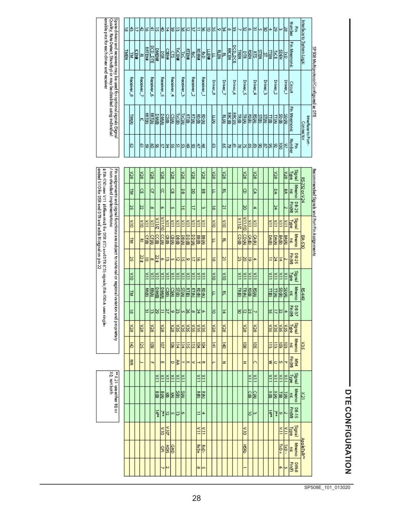| Ï |
|---|
|   |
|   |

|                                                                                 | lಹ           | ١ŵ          | 치위의  |            |               | 비            | 넚              | l8           | $\frac{1}{4}$ |            | 恩は            |              | 비커서제         |            |          |            |    |          |    |          | 4 8 허리하이와단% 허차하 2  3 |                 |       |          |         |          |    |          |       | ⊯⊌       |       | ౹ఙ       | Number               | 콯 |                                |                                        |
|---------------------------------------------------------------------------------|--------------|-------------|------|------------|---------------|--------------|----------------|--------------|---------------|------------|---------------|--------------|--------------|------------|----------|------------|----|----------|----|----------|----------------------|-----------------|-------|----------|---------|----------|----|----------|-------|----------|-------|----------|----------------------|---|--------------------------------|----------------------------------------|
|                                                                                 | <b>TIMEN</b> | ē           | KEN# | ᅍ          | <b>RRTEN#</b> | RCD.<br>덞    | <b>DIVIEN#</b> | g            | 同性            | G          | <b>TxCEN#</b> | 図            | <b>RTEN#</b> | 廖          | tr⊟cs    | g          | 三联 |          | 阿图 | 콛        | <b>RRCEN</b>         | DCD_DCE         | 屋     | STR      | 网里      | ā        | ě  | Ľ        | 目型    | 闂        |       | ķξ       | F<br><b>Mnemonic</b> |   | Interface to System Logic      |                                        |
| Song Editions and Green States that of the Georgia continual stands of the Song |              | Receiver_8  |      | Receiver_7 |               | Receiver_6   |                | Receiver_5   |               | Receiver_4 |               | Receiver_3   |              | Receiver_2 |          | Receiver_1 |    | Driver_8 |    | Driver_7 |                      | <b>Driver_6</b> |       | Driver_5 |         | Driver_4 |    | Driver_3 |       | Criver_2 |       | Driver_1 | Circuit              |   |                                | SP 908 Multiprotocol Configured as DTE |
|                                                                                 |              | <b>TIMA</b> |      | la         | <b>RAT@</b>   | <b>RRTCA</b> | Divi®          | <b>Divid</b> | ရွ            | CSON       | <b>Ixc@</b>   | <b>IxCON</b> | 眉            | ē          | le<br>Bo | हु         |    | 히        |    | e<br>S   | <b>RRC(B)</b>        | <b>RRCW</b>     | TR(B) | 텛        | l⊠<br>⊜ | ₿        | 뎳  | 넳        | 目扇    | 틿        | 50.00 | SD (A)   | Pin Mnemonic         |   | Interface to Port<br>Connector |                                        |
|                                                                                 |              | ß           |      | lo         | l8            | 18           |                | 8 2 2 3 3    |               |            | l≌            | 130          | l\$          | 18         | 11       |            |    | ါသ       |    | ႙        | ы                    | ⊵               | ౹జ    | 이치지      |         |          | 18 |          | 8 8 8 |          | ē     | 9        | Number               | 곻 |                                |                                        |

ryality, Rae Detect, Standby) or may be ucub punisalinas Papila<br>Quality, Rae Detect, Standby) or may be disabled using individual<br>enable pins for each driver and receiver

|                     |                |                                |              | Recommended Signals and Port Pin Assignments |                                                                                                    |             |                   |                  |             |                   |              |              |                         |                        |                       |              |             |
|---------------------|----------------|--------------------------------|--------------|----------------------------------------------|----------------------------------------------------------------------------------------------------|-------------|-------------------|------------------|-------------|-------------------|--------------|--------------|-------------------------|------------------------|-----------------------|--------------|-------------|
|                     | RS-232 or V.24 |                                |              | EIA-530                                      |                                                                                                    |             | <b>区449</b>       |                  |             | <b>SEX</b>        |              |              | X21                     |                        |                       | Appletalk"   |             |
| Signal<br><b>Pg</b> | Mnemo<br>R     | DB-25                          | Signal<br>퉳  | Mnemo<br>k                                   | <b>Pin (M</b>                                                                                      | Signal<br>函 | <b>Mnemo</b><br>k | 08-37<br>Pin (M) | Signal<br>F | <b>Mnemo</b><br>k | Pin (M)<br>影 | Signal<br>మ  | Mnemo<br>k              | <b>PE-15</b><br>Pin(M) | Signal<br><b>Type</b> | Mnemo<br>k   | <b>Dine</b> |
| ౹ౙ                  | ℝ              |                                | Ĕ            | BAGA                                         |                                                                                                    | Ĕ           |                   | 4                | E           | 扈                 | ᅲ            | Ĕ            | 턿                       |                        | EX                    | ķ            |             |
|                     |                |                                | Ś            | <b>BA(B)</b>                                 | $\overline{4}$                                                                                     | Ĕ           | <u>SD(A)</u>      |                  | 5EX         | 15                |              | é            |                         | ю                      | Ś                     | $1\times 0+$ | o,          |
| 8ZK                 | ΣÀ             | 24                             | ă            | <b>DA(A)</b>                                 | 54                                                                                                 | É           | 딣                 | 의기               | 5EX         | 玉                 | cM           | é            | 협회                      | Ă                      |                       |              |             |
|                     |                |                                | ã            | জাত                                          | ⋍                                                                                                  | ã           | 딣                 | ၽ                | ē           | 玉                 | ź            | É            | ౹శ                      | 真                      |                       |              |             |
|                     |                |                                |              |                                              |                                                                                                    |             |                   |                  |             |                   |              |              |                         |                        |                       |              |             |
|                     |                |                                |              |                                              |                                                                                                    |             |                   |                  |             |                   |              |              |                         |                        |                       |              |             |
| ౹ౙ                  | Ç              | 4                              | EX           | विष्                                         | 4                                                                                                  | Ě           | g                 |                  | ౹ౙ          | ē                 | o            | É            | g                       | ω                      |                       |              |             |
|                     |                |                                | Ś            | अंख्य                                        | 12                                                                                                 | ĽΚ          | ka<br>⊠           | 있                |             |                   |              | é            | g                       | ō                      |                       |              |             |
| ౹ౙ                  | Θ              | ४                              | OUTLIN       | <u>cow</u>                                   | ន                                                                                                  | É           | TRA)              |                  | 826         | ē                 | I            |              |                         |                        | δÜ                    | 형            |             |
|                     |                |                                | zurx         | CD <sub>(B)</sub>                            | ы                                                                                                  | Ĕ           | TR®)              | ષ્ઠ              |             |                   |              |              |                         |                        |                       |              |             |
|                     |                |                                |              |                                              |                                                                                                    |             |                   |                  |             |                   |              |              |                         |                        |                       |              |             |
| ౹ౙ                  | 쿈              | Ľ                              | õЮ           | 콛                                            | 르                                                                                                  | õЩ          | P                 | $\frac{1}{4}$    | ನ           | 히                 | z            |              |                         |                        |                       |              |             |
|                     |                |                                |              |                                              |                                                                                                    |             |                   |                  |             |                   |              |              |                         |                        |                       |              |             |
| 128                 | F              | ౹ౚ                             | ă            | F                                            | ಹ                                                                                                  | ă           | F                 | Б                | ಕ್ಷ         | $\frac{141}{2}$   |              |              |                         |                        |                       |              |             |
|                     |                |                                |              |                                              |                                                                                                    |             |                   |                  |             |                   |              |              |                         |                        |                       |              |             |
| ಷ                   | 묺              | ω                              | EX           | <b>BB (A)</b>                                | ω                                                                                                  | É           | छळा               | ۱o               | S           | 运                 | ∞            | Ĕ            | हरू                     | 4                      | EX                    | Rxp.         | u,          |
|                     |                |                                | Ĕ            | 陽図                                           | 능                                                                                                  | Ĕ           | ē                 | 뇌                | ē           | ē                 | ۹            | Ĕ            | ē                       |                        | ш٨                    | P            | lœ          |
| ౹ౙ                  | 18             | ₹                              | Ĕ            | জঞ                                           | ҕ                                                                                                  | E           | 톓                 | ∣∞               | E           | 듦                 | ≺            |              |                         |                        |                       |              |             |
|                     |                |                                | Ĕ            | ভাৰত                                         | l۰                                                                                                 | Ĕ           | 텳                 | ს∞ ⊗             | ē           | 듢                 | l≍           |              |                         |                        |                       |              |             |
| 12g                 | 덣              | ᆔ                              | Ĕ            | <b>DB(A)</b>                                 | 더                                                                                                  | é           | 길                 |                  | E           | 真                 | ¢            | ž            | é                       | l۰                     |                       |              |             |
|                     |                |                                | É            | <b>DB(B)</b>                                 | ¦≂                                                                                                 | É           | 녧                 | 닚                | 5Ø          | $\frac{114}{4}$   | 医            | É            | b                       | ದ                      |                       |              |             |
| াত্র                | b              | U)                             | Ś            | <b>CBON</b>                                  | m                                                                                                  | ≦           | ⊗                 | o                | 128         | ब्र               | p            | ž            | ট্র                     | lun                    |                       | <b>GND</b>   |             |
|                     |                |                                | Ě            | 1968                                         | lಪ                                                                                                 | ă           | <b>GSD</b>        | 27               |             |                   |              | Ĕ            | 唇                       | ನ                      | <b>Nile</b>           | 誘            |             |
| ౹ౙ                  | k              | o۱                             | <b>VILNO</b> | ८०                                           | lم                                                                                                 | E           | <b>Divid</b>      |                  | <b>RE</b>   | ē                 | lтı          | Ĕ            | 삟                       | ¥                      | ă                     | 윤            |             |
|                     |                |                                | ZILIK        | ka                                           | $\frac{1}{2}$                                                                                      | ž           | <b>DiviB</b>      | 12               |             |                   |              | ð            | ā                       | ٦                      |                       |              |             |
| ౹ౙ                  | Ą              | œ                              | Ě            | 딚                                            | œ                                                                                                  | É           | ē                 | ಠ                | ౹ౙ          | ē                 |              |              |                         |                        |                       |              |             |
|                     |                |                                | Ś            | 日本                                           | ಕ                                                                                                  | ă           | 屬                 | 쁘                |             |                   |              |              |                         |                        |                       |              |             |
| V28                 | င္ပ            | 22                             | õiX          | 콘                                            | 22#                                                                                                |             |                   |                  | 821         | 125               |              |              |                         |                        |                       |              |             |
|                     |                |                                |              |                                              |                                                                                                    |             |                   |                  |             |                   |              |              |                         |                        |                       |              |             |
| ಕ್ಷ                 | E              | 넒                              | δ            | E                                            | 넚                                                                                                  | ă           | E                 | ಹ                | ನ           | 넓                 | E            |              |                         |                        |                       |              |             |
|                     |                |                                |              |                                              |                                                                                                    |             |                   |                  |             |                   |              |              |                         |                        |                       |              |             |
|                     |                |                                |              |                                              |                                                                                                    |             |                   |                  |             |                   |              |              |                         |                        |                       |              |             |
|                     |                | / non-standard implementations |              |                                              | Pin assignments and signal functions are subject to national or regional variation and proprietary |             |                   |                  |             |                   |              | XQ, not both | ** X21 use either B0 or |                        |                       |              |             |
|                     |                |                                |              |                                              |                                                                                                    |             |                   |                  |             |                   |              |              |                         |                        |                       |              |             |

‡ Elk-520 uses V.11 differentia≬for DSR (CC) and DTR (CD) agnals; Elk-550-A uses single-<br>|ended V.10 for DSR and DTR and adds Risgnal on pin 22

SP508E\_101\_013020